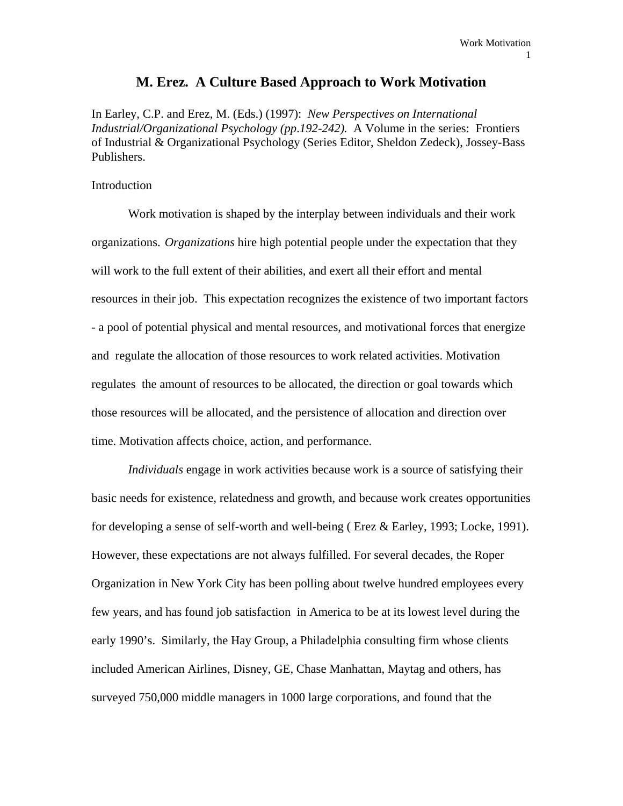# **M. Erez. A Culture Based Approach to Work Motivation**

In Earley, C.P. and Erez, M. (Eds.) (1997): *New Perspectives on International Industrial/Organizational Psychology (pp*.*192-242).* A Volume in the series: Frontiers of Industrial & Organizational Psychology (Series Editor, Sheldon Zedeck), Jossey-Bass Publishers.

#### Introduction

 Work motivation is shaped by the interplay between individuals and their work organizations. *Organizations* hire high potential people under the expectation that they will work to the full extent of their abilities, and exert all their effort and mental resources in their job. This expectation recognizes the existence of two important factors - a pool of potential physical and mental resources, and motivational forces that energize and regulate the allocation of those resources to work related activities. Motivation regulates the amount of resources to be allocated, the direction or goal towards which those resources will be allocated, and the persistence of allocation and direction over time. Motivation affects choice, action, and performance.

*Individuals* engage in work activities because work is a source of satisfying their basic needs for existence, relatedness and growth, and because work creates opportunities for developing a sense of self-worth and well-being ( Erez & Earley, 1993; Locke, 1991). However, these expectations are not always fulfilled. For several decades, the Roper Organization in New York City has been polling about twelve hundred employees every few years, and has found job satisfaction in America to be at its lowest level during the early 1990's. Similarly, the Hay Group, a Philadelphia consulting firm whose clients included American Airlines, Disney, GE, Chase Manhattan, Maytag and others, has surveyed 750,000 middle managers in 1000 large corporations, and found that the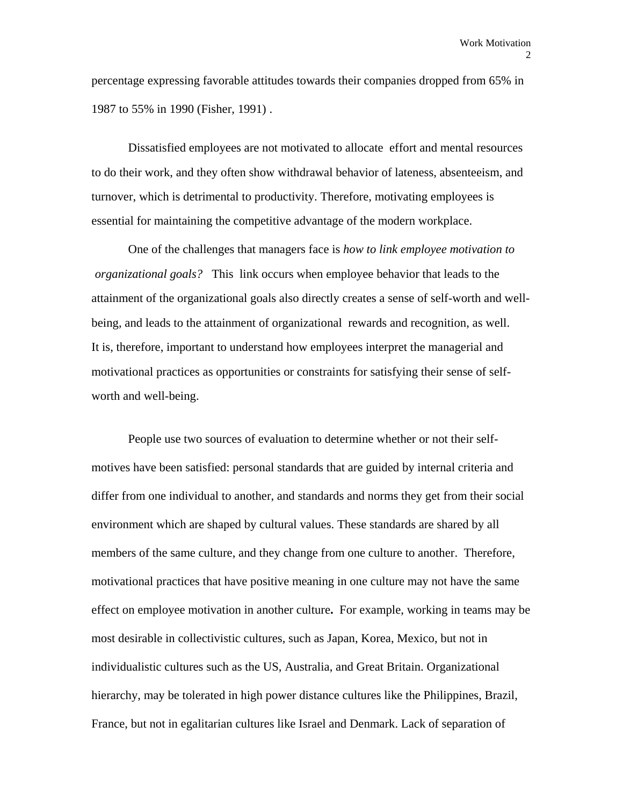percentage expressing favorable attitudes towards their companies dropped from 65% in 1987 to 55% in 1990 (Fisher, 1991) .

 Dissatisfied employees are not motivated to allocate effort and mental resources to do their work, and they often show withdrawal behavior of lateness, absenteeism, and turnover, which is detrimental to productivity. Therefore, motivating employees is essential for maintaining the competitive advantage of the modern workplace.

 One of the challenges that managers face is *how to link employee motivation to organizational goals?* This link occurs when employee behavior that leads to the attainment of the organizational goals also directly creates a sense of self-worth and wellbeing, and leads to the attainment of organizational rewards and recognition, as well. It is, therefore, important to understand how employees interpret the managerial and motivational practices as opportunities or constraints for satisfying their sense of selfworth and well-being.

People use two sources of evaluation to determine whether or not their selfmotives have been satisfied: personal standards that are guided by internal criteria and differ from one individual to another, and standards and norms they get from their social environment which are shaped by cultural values. These standards are shared by all members of the same culture, and they change from one culture to another. Therefore, motivational practices that have positive meaning in one culture may not have the same effect on employee motivation in another culture**.** For example, working in teams may be most desirable in collectivistic cultures, such as Japan, Korea, Mexico, but not in individualistic cultures such as the US, Australia, and Great Britain. Organizational hierarchy, may be tolerated in high power distance cultures like the Philippines, Brazil, France, but not in egalitarian cultures like Israel and Denmark. Lack of separation of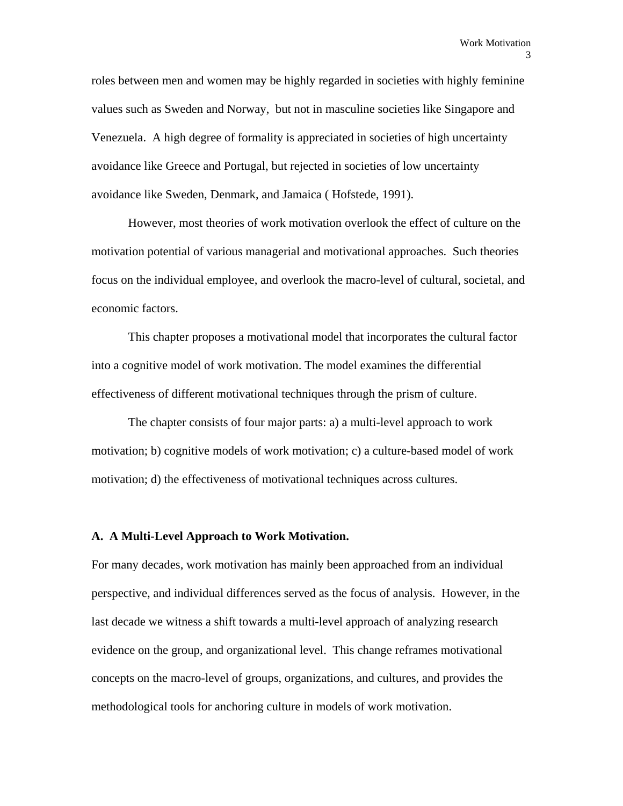roles between men and women may be highly regarded in societies with highly feminine values such as Sweden and Norway, but not in masculine societies like Singapore and Venezuela. A high degree of formality is appreciated in societies of high uncertainty avoidance like Greece and Portugal, but rejected in societies of low uncertainty avoidance like Sweden, Denmark, and Jamaica ( Hofstede, 1991).

 However, most theories of work motivation overlook the effect of culture on the motivation potential of various managerial and motivational approaches. Such theories focus on the individual employee, and overlook the macro-level of cultural, societal, and economic factors.

 This chapter proposes a motivational model that incorporates the cultural factor into a cognitive model of work motivation. The model examines the differential effectiveness of different motivational techniques through the prism of culture.

 The chapter consists of four major parts: a) a multi-level approach to work motivation; b) cognitive models of work motivation; c) a culture-based model of work motivation; d) the effectiveness of motivational techniques across cultures.

# **A. A Multi-Level Approach to Work Motivation.**

For many decades, work motivation has mainly been approached from an individual perspective, and individual differences served as the focus of analysis. However, in the last decade we witness a shift towards a multi-level approach of analyzing research evidence on the group, and organizational level. This change reframes motivational concepts on the macro-level of groups, organizations, and cultures, and provides the methodological tools for anchoring culture in models of work motivation.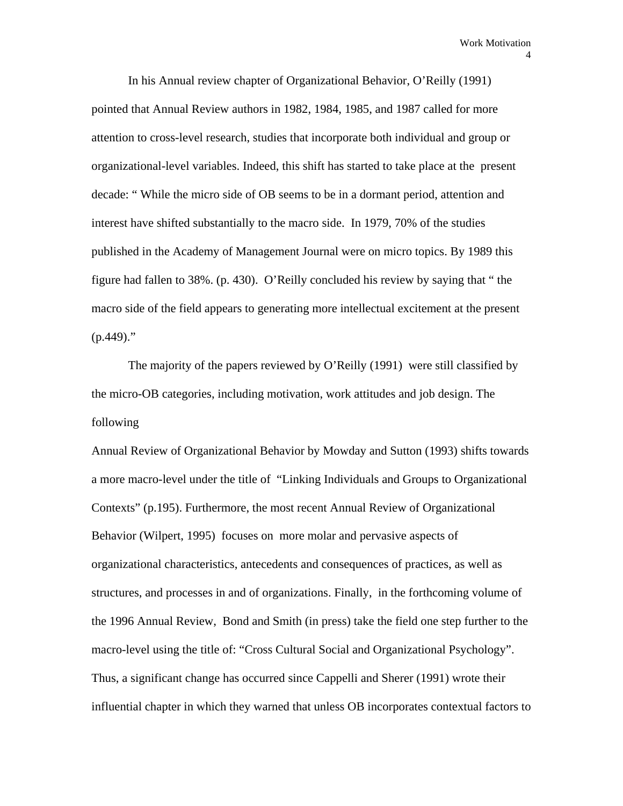In his Annual review chapter of Organizational Behavior, O'Reilly (1991) pointed that Annual Review authors in 1982, 1984, 1985, and 1987 called for more attention to cross-level research, studies that incorporate both individual and group or organizational-level variables. Indeed, this shift has started to take place at the present decade: " While the micro side of OB seems to be in a dormant period, attention and interest have shifted substantially to the macro side. In 1979, 70% of the studies published in the Academy of Management Journal were on micro topics. By 1989 this figure had fallen to 38%. (p. 430). O'Reilly concluded his review by saying that " the macro side of the field appears to generating more intellectual excitement at the present  $(p.449)$ ."

 The majority of the papers reviewed by O'Reilly (1991) were still classified by the micro-OB categories, including motivation, work attitudes and job design. The following

Annual Review of Organizational Behavior by Mowday and Sutton (1993) shifts towards a more macro-level under the title of "Linking Individuals and Groups to Organizational Contexts" (p.195). Furthermore, the most recent Annual Review of Organizational Behavior (Wilpert, 1995) focuses on more molar and pervasive aspects of organizational characteristics, antecedents and consequences of practices, as well as structures, and processes in and of organizations. Finally, in the forthcoming volume of the 1996 Annual Review, Bond and Smith (in press) take the field one step further to the macro-level using the title of: "Cross Cultural Social and Organizational Psychology". Thus, a significant change has occurred since Cappelli and Sherer (1991) wrote their influential chapter in which they warned that unless OB incorporates contextual factors to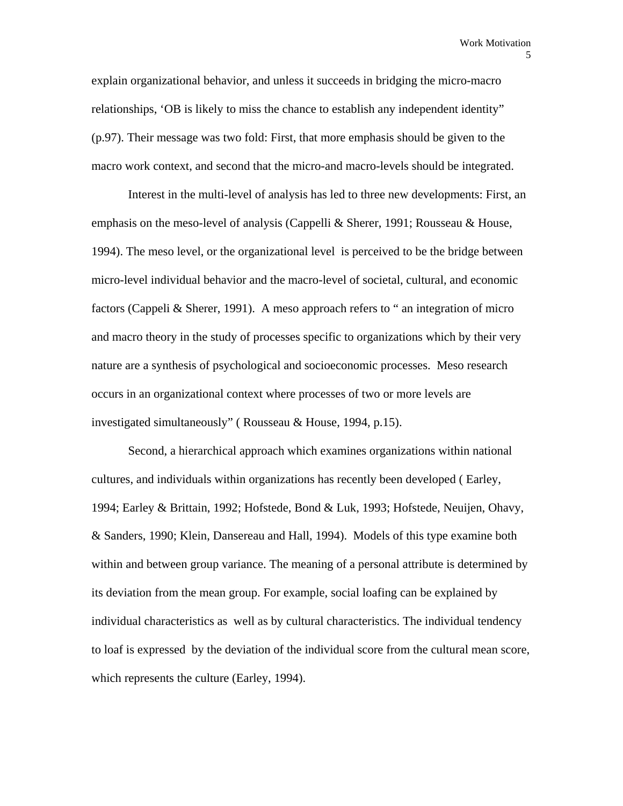explain organizational behavior, and unless it succeeds in bridging the micro-macro relationships, 'OB is likely to miss the chance to establish any independent identity" (p.97). Their message was two fold: First, that more emphasis should be given to the macro work context, and second that the micro-and macro-levels should be integrated.

 Interest in the multi-level of analysis has led to three new developments: First, an emphasis on the meso-level of analysis (Cappelli & Sherer, 1991; Rousseau & House, 1994). The meso level, or the organizational level is perceived to be the bridge between micro-level individual behavior and the macro-level of societal, cultural, and economic factors (Cappeli & Sherer, 1991). A meso approach refers to " an integration of micro and macro theory in the study of processes specific to organizations which by their very nature are a synthesis of psychological and socioeconomic processes. Meso research occurs in an organizational context where processes of two or more levels are investigated simultaneously" ( Rousseau & House, 1994, p.15).

 Second, a hierarchical approach which examines organizations within national cultures, and individuals within organizations has recently been developed ( Earley, 1994; Earley & Brittain, 1992; Hofstede, Bond & Luk, 1993; Hofstede, Neuijen, Ohavy, & Sanders, 1990; Klein, Dansereau and Hall, 1994). Models of this type examine both within and between group variance. The meaning of a personal attribute is determined by its deviation from the mean group. For example, social loafing can be explained by individual characteristics as well as by cultural characteristics. The individual tendency to loaf is expressed by the deviation of the individual score from the cultural mean score, which represents the culture (Earley, 1994).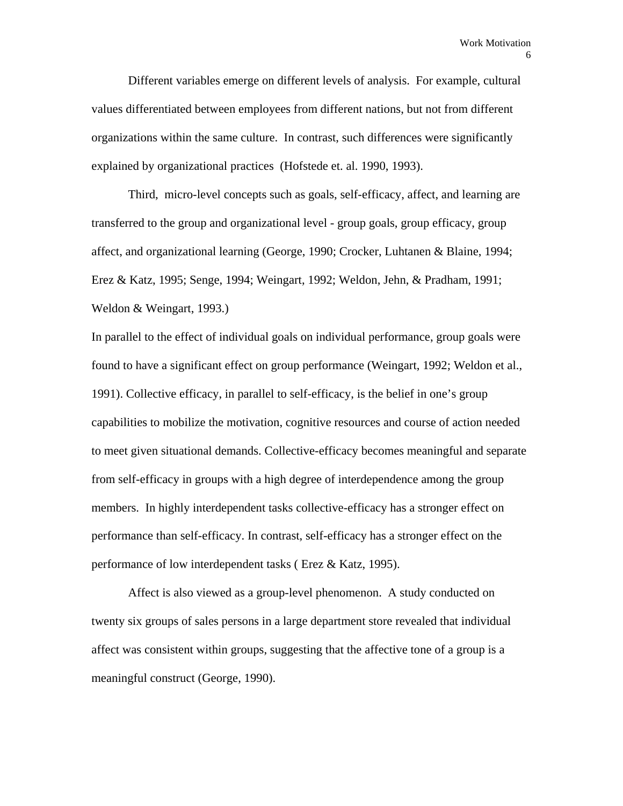Different variables emerge on different levels of analysis. For example, cultural values differentiated between employees from different nations, but not from different organizations within the same culture. In contrast, such differences were significantly explained by organizational practices (Hofstede et. al. 1990, 1993).

 Third, micro-level concepts such as goals, self-efficacy, affect, and learning are transferred to the group and organizational level - group goals, group efficacy, group affect, and organizational learning (George, 1990; Crocker, Luhtanen & Blaine, 1994; Erez & Katz, 1995; Senge, 1994; Weingart, 1992; Weldon, Jehn, & Pradham, 1991; Weldon & Weingart, 1993.)

In parallel to the effect of individual goals on individual performance, group goals were found to have a significant effect on group performance (Weingart, 1992; Weldon et al., 1991). Collective efficacy, in parallel to self-efficacy, is the belief in one's group capabilities to mobilize the motivation, cognitive resources and course of action needed to meet given situational demands. Collective-efficacy becomes meaningful and separate from self-efficacy in groups with a high degree of interdependence among the group members. In highly interdependent tasks collective-efficacy has a stronger effect on performance than self-efficacy. In contrast, self-efficacy has a stronger effect on the performance of low interdependent tasks ( Erez & Katz, 1995).

 Affect is also viewed as a group-level phenomenon. A study conducted on twenty six groups of sales persons in a large department store revealed that individual affect was consistent within groups, suggesting that the affective tone of a group is a meaningful construct (George, 1990).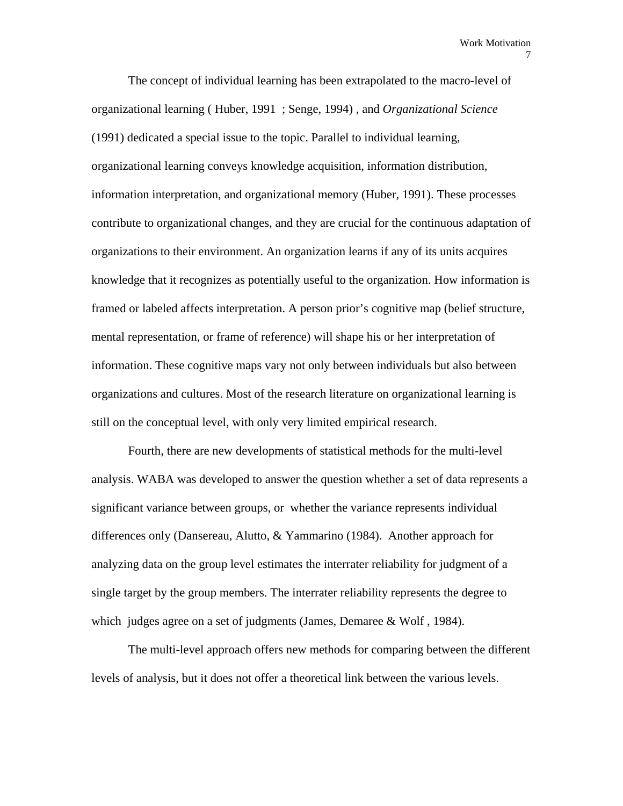The concept of individual learning has been extrapolated to the macro-level of organizational learning ( Huber, 1991 ; Senge, 1994) , and *Organizational Science*  (1991) dedicated a special issue to the topic. Parallel to individual learning, organizational learning conveys knowledge acquisition, information distribution, information interpretation, and organizational memory (Huber, 1991). These processes contribute to organizational changes, and they are crucial for the continuous adaptation of organizations to their environment. An organization learns if any of its units acquires knowledge that it recognizes as potentially useful to the organization. How information is framed or labeled affects interpretation. A person prior's cognitive map (belief structure, mental representation, or frame of reference) will shape his or her interpretation of information. These cognitive maps vary not only between individuals but also between organizations and cultures. Most of the research literature on organizational learning is still on the conceptual level, with only very limited empirical research.

 Fourth, there are new developments of statistical methods for the multi-level analysis. WABA was developed to answer the question whether a set of data represents a significant variance between groups, or whether the variance represents individual differences only (Dansereau, Alutto, & Yammarino (1984). Another approach for analyzing data on the group level estimates the interrater reliability for judgment of a single target by the group members. The interrater reliability represents the degree to which judges agree on a set of judgments (James, Demaree & Wolf, 1984).

 The multi-level approach offers new methods for comparing between the different levels of analysis, but it does not offer a theoretical link between the various levels.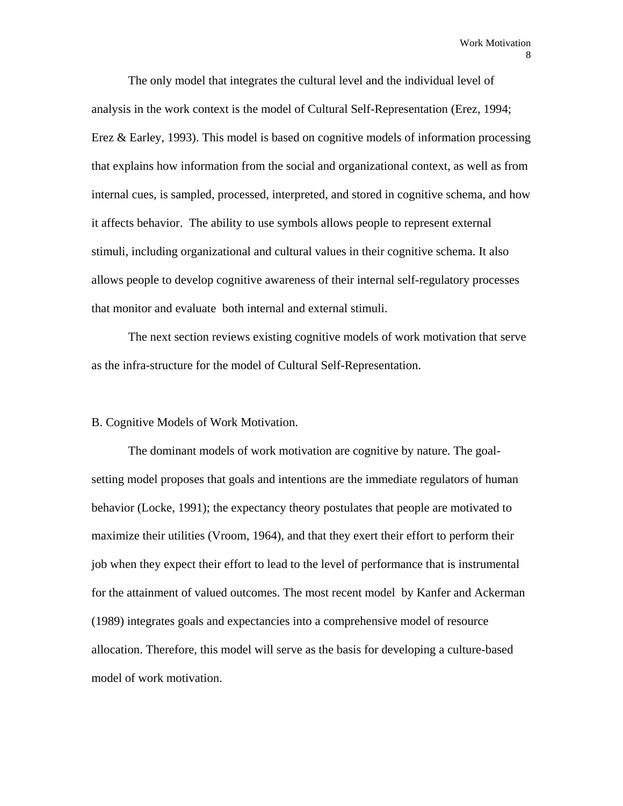The only model that integrates the cultural level and the individual level of analysis in the work context is the model of Cultural Self-Representation (Erez, 1994; Erez & Earley, 1993). This model is based on cognitive models of information processing that explains how information from the social and organizational context, as well as from internal cues, is sampled, processed, interpreted, and stored in cognitive schema, and how it affects behavior. The ability to use symbols allows people to represent external stimuli, including organizational and cultural values in their cognitive schema. It also allows people to develop cognitive awareness of their internal self-regulatory processes that monitor and evaluate both internal and external stimuli.

 The next section reviews existing cognitive models of work motivation that serve as the infra-structure for the model of Cultural Self-Representation.

# B. Cognitive Models of Work Motivation.

 The dominant models of work motivation are cognitive by nature. The goalsetting model proposes that goals and intentions are the immediate regulators of human behavior (Locke, 1991); the expectancy theory postulates that people are motivated to maximize their utilities (Vroom, 1964), and that they exert their effort to perform their job when they expect their effort to lead to the level of performance that is instrumental for the attainment of valued outcomes. The most recent model by Kanfer and Ackerman (1989) integrates goals and expectancies into a comprehensive model of resource allocation. Therefore, this model will serve as the basis for developing a culture-based model of work motivation.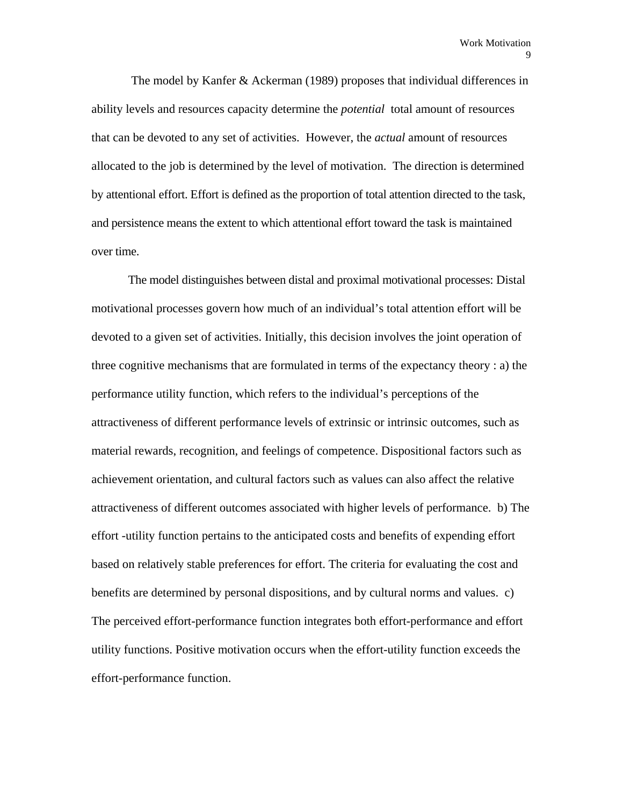The model by Kanfer & Ackerman (1989) proposes that individual differences in ability levels and resources capacity determine the *potential* total amount of resources that can be devoted to any set of activities. However, the *actual* amount of resources allocated to the job is determined by the level of motivation. The direction is determined by attentional effort. Effort is defined as the proportion of total attention directed to the task, and persistence means the extent to which attentional effort toward the task is maintained over time.

 The model distinguishes between distal and proximal motivational processes: Distal motivational processes govern how much of an individual's total attention effort will be devoted to a given set of activities. Initially, this decision involves the joint operation of three cognitive mechanisms that are formulated in terms of the expectancy theory : a) the performance utility function, which refers to the individual's perceptions of the attractiveness of different performance levels of extrinsic or intrinsic outcomes, such as material rewards, recognition, and feelings of competence. Dispositional factors such as achievement orientation, and cultural factors such as values can also affect the relative attractiveness of different outcomes associated with higher levels of performance. b) The effort -utility function pertains to the anticipated costs and benefits of expending effort based on relatively stable preferences for effort. The criteria for evaluating the cost and benefits are determined by personal dispositions, and by cultural norms and values. c) The perceived effort-performance function integrates both effort-performance and effort utility functions. Positive motivation occurs when the effort-utility function exceeds the effort-performance function.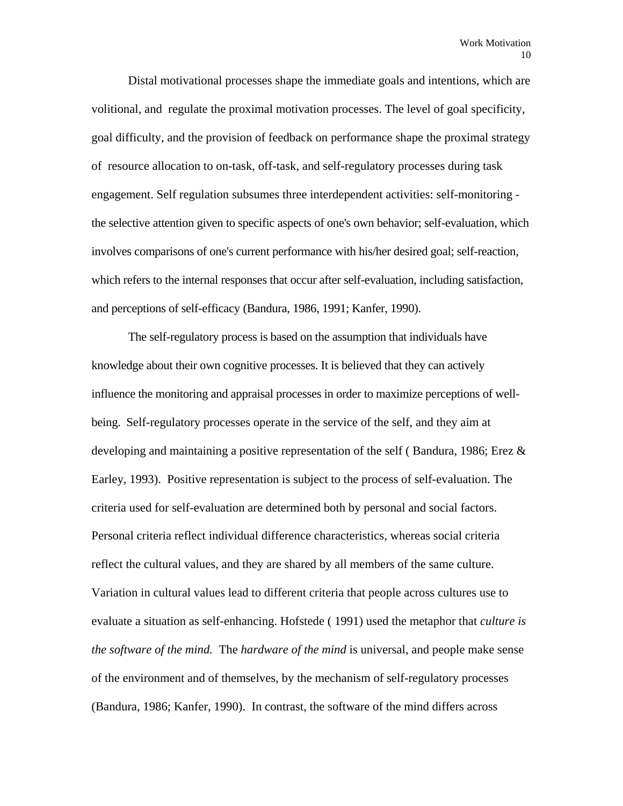Distal motivational processes shape the immediate goals and intentions, which are volitional, and regulate the proximal motivation processes. The level of goal specificity, goal difficulty, and the provision of feedback on performance shape the proximal strategy of resource allocation to on-task, off-task, and self-regulatory processes during task engagement. Self regulation subsumes three interdependent activities: self-monitoring the selective attention given to specific aspects of one's own behavior; self-evaluation, which involves comparisons of one's current performance with his/her desired goal; self-reaction, which refers to the internal responses that occur after self-evaluation, including satisfaction, and perceptions of self-efficacy (Bandura, 1986, 1991; Kanfer, 1990).

 The self-regulatory process is based on the assumption that individuals have knowledge about their own cognitive processes. It is believed that they can actively influence the monitoring and appraisal processes in order to maximize perceptions of wellbeing. Self-regulatory processes operate in the service of the self, and they aim at developing and maintaining a positive representation of the self (Bandura, 1986; Erez  $\&$ Earley, 1993). Positive representation is subject to the process of self-evaluation. The criteria used for self-evaluation are determined both by personal and social factors. Personal criteria reflect individual difference characteristics, whereas social criteria reflect the cultural values, and they are shared by all members of the same culture. Variation in cultural values lead to different criteria that people across cultures use to evaluate a situation as self-enhancing. Hofstede ( 1991) used the metaphor that *culture is the software of the mind.* The *hardware of the mind* is universal, and people make sense of the environment and of themselves, by the mechanism of self-regulatory processes (Bandura, 1986; Kanfer, 1990). In contrast, the software of the mind differs across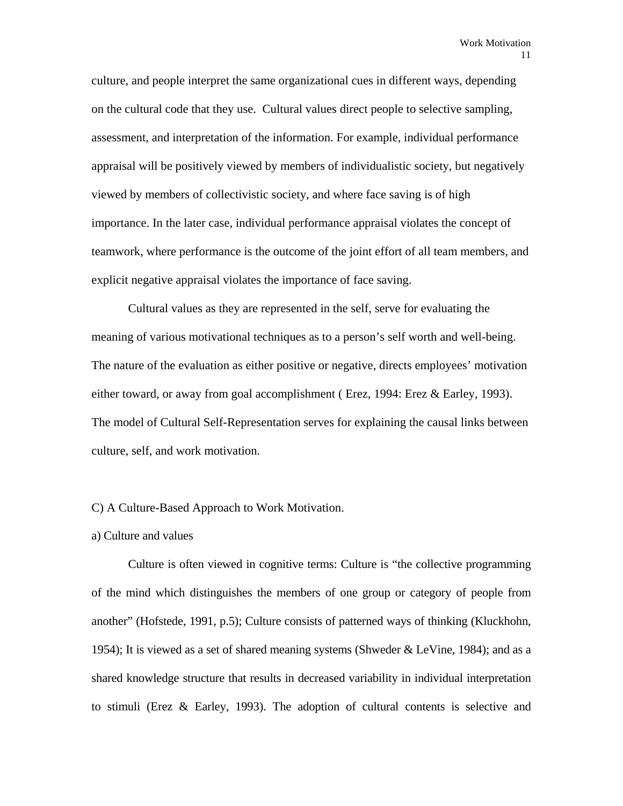culture, and people interpret the same organizational cues in different ways, depending on the cultural code that they use. Cultural values direct people to selective sampling, assessment, and interpretation of the information. For example, individual performance appraisal will be positively viewed by members of individualistic society, but negatively viewed by members of collectivistic society, and where face saving is of high importance. In the later case, individual performance appraisal violates the concept of teamwork, where performance is the outcome of the joint effort of all team members, and explicit negative appraisal violates the importance of face saving.

 Cultural values as they are represented in the self, serve for evaluating the meaning of various motivational techniques as to a person's self worth and well-being. The nature of the evaluation as either positive or negative, directs employees' motivation either toward, or away from goal accomplishment ( Erez, 1994: Erez & Earley, 1993). The model of Cultural Self-Representation serves for explaining the causal links between culture, self, and work motivation.

#### C) A Culture-Based Approach to Work Motivation.

#### a) Culture and values

 Culture is often viewed in cognitive terms: Culture is "the collective programming of the mind which distinguishes the members of one group or category of people from another" (Hofstede, 1991, p.5); Culture consists of patterned ways of thinking (Kluckhohn, 1954); It is viewed as a set of shared meaning systems (Shweder & LeVine, 1984); and as a shared knowledge structure that results in decreased variability in individual interpretation to stimuli (Erez & Earley, 1993). The adoption of cultural contents is selective and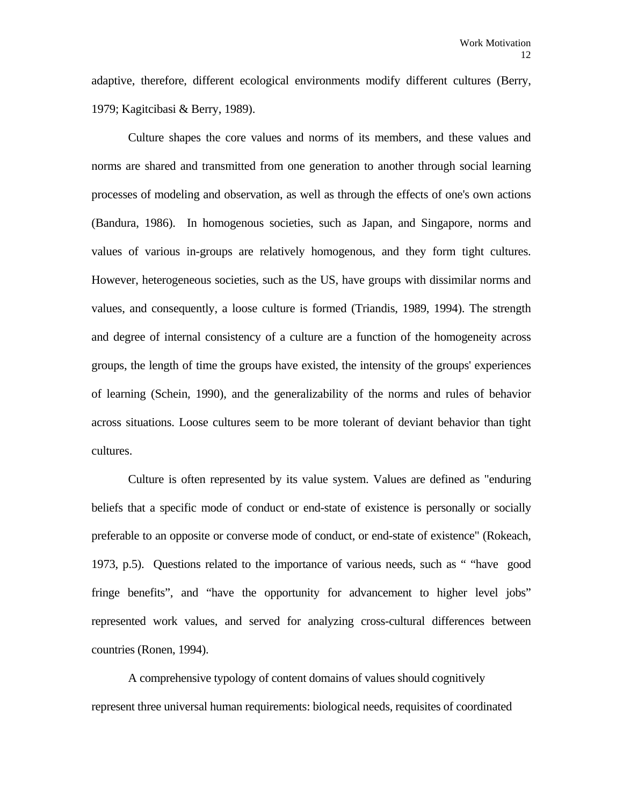adaptive, therefore, different ecological environments modify different cultures (Berry, 1979; Kagitcibasi & Berry, 1989).

 Culture shapes the core values and norms of its members, and these values and norms are shared and transmitted from one generation to another through social learning processes of modeling and observation, as well as through the effects of one's own actions (Bandura, 1986). In homogenous societies, such as Japan, and Singapore, norms and values of various in-groups are relatively homogenous, and they form tight cultures. However, heterogeneous societies, such as the US, have groups with dissimilar norms and values, and consequently, a loose culture is formed (Triandis, 1989, 1994). The strength and degree of internal consistency of a culture are a function of the homogeneity across groups, the length of time the groups have existed, the intensity of the groups' experiences of learning (Schein, 1990), and the generalizability of the norms and rules of behavior across situations. Loose cultures seem to be more tolerant of deviant behavior than tight cultures.

 Culture is often represented by its value system. Values are defined as "enduring beliefs that a specific mode of conduct or end-state of existence is personally or socially preferable to an opposite or converse mode of conduct, or end-state of existence" (Rokeach, 1973, p.5). Questions related to the importance of various needs, such as " "have good fringe benefits", and "have the opportunity for advancement to higher level jobs" represented work values, and served for analyzing cross-cultural differences between countries (Ronen, 1994).

 A comprehensive typology of content domains of values should cognitively represent three universal human requirements: biological needs, requisites of coordinated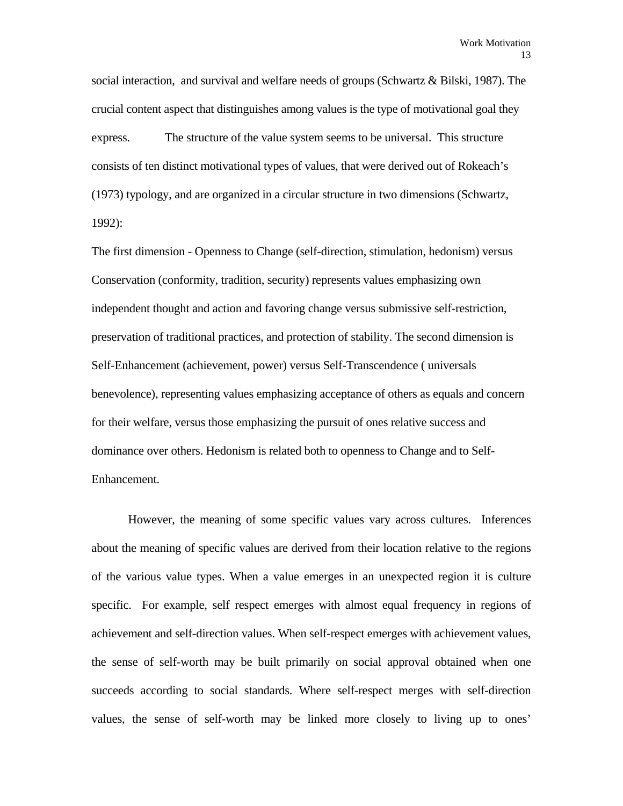social interaction, and survival and welfare needs of groups (Schwartz & Bilski, 1987). The crucial content aspect that distinguishes among values is the type of motivational goal they express. The structure of the value system seems to be universal. This structure consists of ten distinct motivational types of values, that were derived out of Rokeach's (1973) typology, and are organized in a circular structure in two dimensions (Schwartz, 1992):

The first dimension - Openness to Change (self-direction, stimulation, hedonism) versus Conservation (conformity, tradition, security) represents values emphasizing own independent thought and action and favoring change versus submissive self-restriction, preservation of traditional practices, and protection of stability. The second dimension is Self-Enhancement (achievement, power) versus Self-Transcendence ( universals benevolence), representing values emphasizing acceptance of others as equals and concern for their welfare, versus those emphasizing the pursuit of ones relative success and dominance over others. Hedonism is related both to openness to Change and to Self-Enhancement.

 However, the meaning of some specific values vary across cultures. Inferences about the meaning of specific values are derived from their location relative to the regions of the various value types. When a value emerges in an unexpected region it is culture specific. For example, self respect emerges with almost equal frequency in regions of achievement and self-direction values. When self-respect emerges with achievement values, the sense of self-worth may be built primarily on social approval obtained when one succeeds according to social standards. Where self-respect merges with self-direction values, the sense of self-worth may be linked more closely to living up to ones'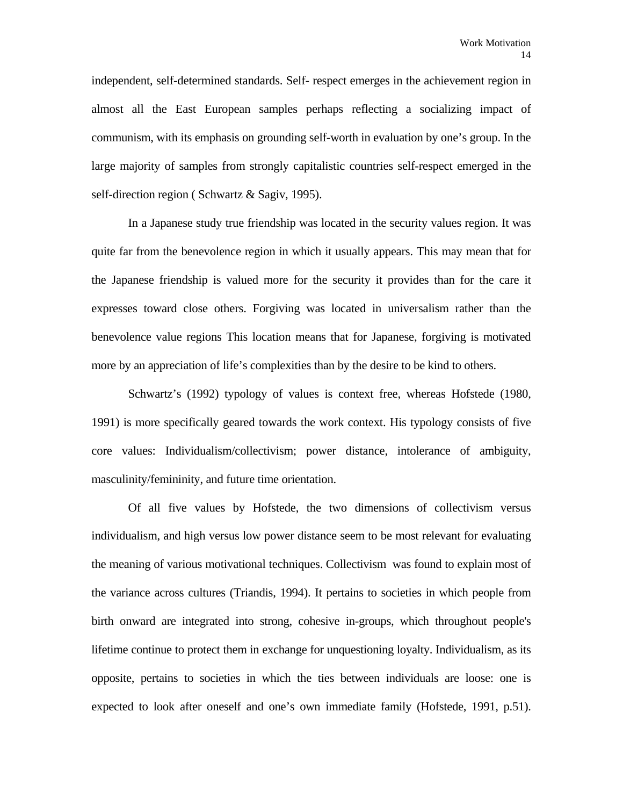independent, self-determined standards. Self- respect emerges in the achievement region in almost all the East European samples perhaps reflecting a socializing impact of communism, with its emphasis on grounding self-worth in evaluation by one's group. In the large majority of samples from strongly capitalistic countries self-respect emerged in the self-direction region ( Schwartz & Sagiv, 1995).

 In a Japanese study true friendship was located in the security values region. It was quite far from the benevolence region in which it usually appears. This may mean that for the Japanese friendship is valued more for the security it provides than for the care it expresses toward close others. Forgiving was located in universalism rather than the benevolence value regions This location means that for Japanese, forgiving is motivated more by an appreciation of life's complexities than by the desire to be kind to others.

 Schwartz's (1992) typology of values is context free, whereas Hofstede (1980, 1991) is more specifically geared towards the work context. His typology consists of five core values: Individualism/collectivism; power distance, intolerance of ambiguity, masculinity/femininity, and future time orientation.

 Of all five values by Hofstede, the two dimensions of collectivism versus individualism, and high versus low power distance seem to be most relevant for evaluating the meaning of various motivational techniques. Collectivism was found to explain most of the variance across cultures (Triandis, 1994). It pertains to societies in which people from birth onward are integrated into strong, cohesive in-groups, which throughout people's lifetime continue to protect them in exchange for unquestioning loyalty. Individualism, as its opposite, pertains to societies in which the ties between individuals are loose: one is expected to look after oneself and one's own immediate family (Hofstede, 1991, p.51).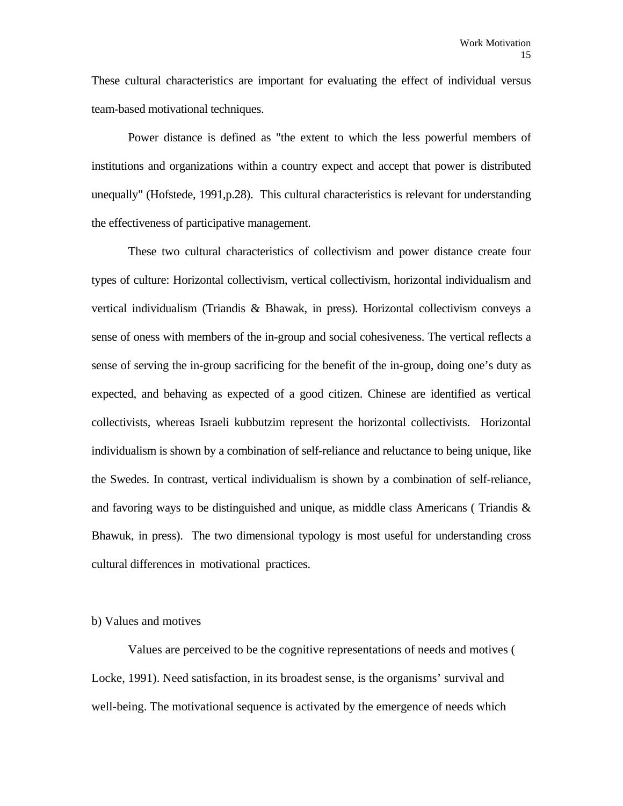These cultural characteristics are important for evaluating the effect of individual versus team-based motivational techniques.

 Power distance is defined as "the extent to which the less powerful members of institutions and organizations within a country expect and accept that power is distributed unequally" (Hofstede, 1991,p.28). This cultural characteristics is relevant for understanding the effectiveness of participative management.

 These two cultural characteristics of collectivism and power distance create four types of culture: Horizontal collectivism, vertical collectivism, horizontal individualism and vertical individualism (Triandis & Bhawak, in press). Horizontal collectivism conveys a sense of oness with members of the in-group and social cohesiveness. The vertical reflects a sense of serving the in-group sacrificing for the benefit of the in-group, doing one's duty as expected, and behaving as expected of a good citizen. Chinese are identified as vertical collectivists, whereas Israeli kubbutzim represent the horizontal collectivists. Horizontal individualism is shown by a combination of self-reliance and reluctance to being unique, like the Swedes. In contrast, vertical individualism is shown by a combination of self-reliance, and favoring ways to be distinguished and unique, as middle class Americans (Triandis  $\&$ Bhawuk, in press). The two dimensional typology is most useful for understanding cross cultural differences in motivational practices.

# b) Values and motives

 Values are perceived to be the cognitive representations of needs and motives ( Locke, 1991). Need satisfaction, in its broadest sense, is the organisms' survival and well-being. The motivational sequence is activated by the emergence of needs which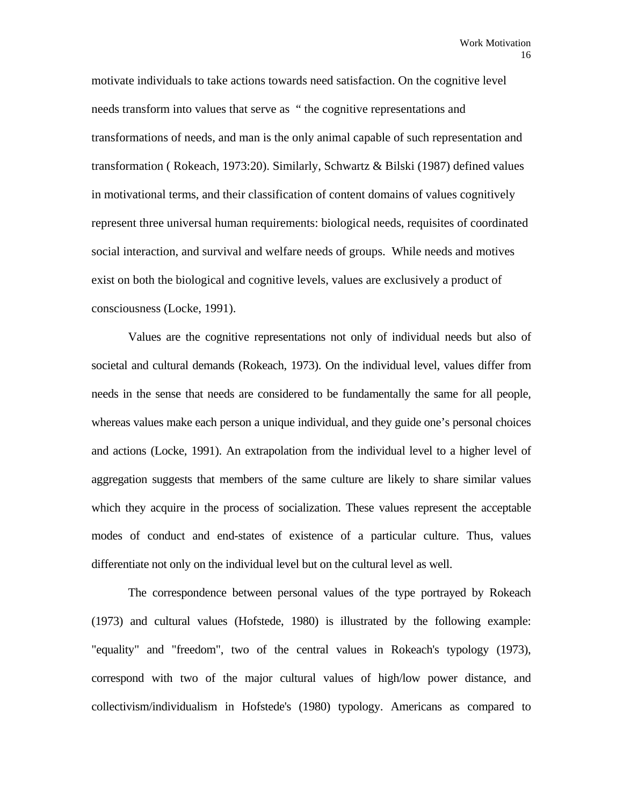motivate individuals to take actions towards need satisfaction. On the cognitive level needs transform into values that serve as " the cognitive representations and transformations of needs, and man is the only animal capable of such representation and transformation ( Rokeach, 1973:20). Similarly, Schwartz & Bilski (1987) defined values in motivational terms, and their classification of content domains of values cognitively represent three universal human requirements: biological needs, requisites of coordinated social interaction, and survival and welfare needs of groups. While needs and motives exist on both the biological and cognitive levels, values are exclusively a product of consciousness (Locke, 1991).

 Values are the cognitive representations not only of individual needs but also of societal and cultural demands (Rokeach, 1973). On the individual level, values differ from needs in the sense that needs are considered to be fundamentally the same for all people, whereas values make each person a unique individual, and they guide one's personal choices and actions (Locke, 1991). An extrapolation from the individual level to a higher level of aggregation suggests that members of the same culture are likely to share similar values which they acquire in the process of socialization. These values represent the acceptable modes of conduct and end-states of existence of a particular culture. Thus, values differentiate not only on the individual level but on the cultural level as well.

 The correspondence between personal values of the type portrayed by Rokeach (1973) and cultural values (Hofstede, 1980) is illustrated by the following example: "equality" and "freedom", two of the central values in Rokeach's typology (1973), correspond with two of the major cultural values of high/low power distance, and collectivism/individualism in Hofstede's (1980) typology. Americans as compared to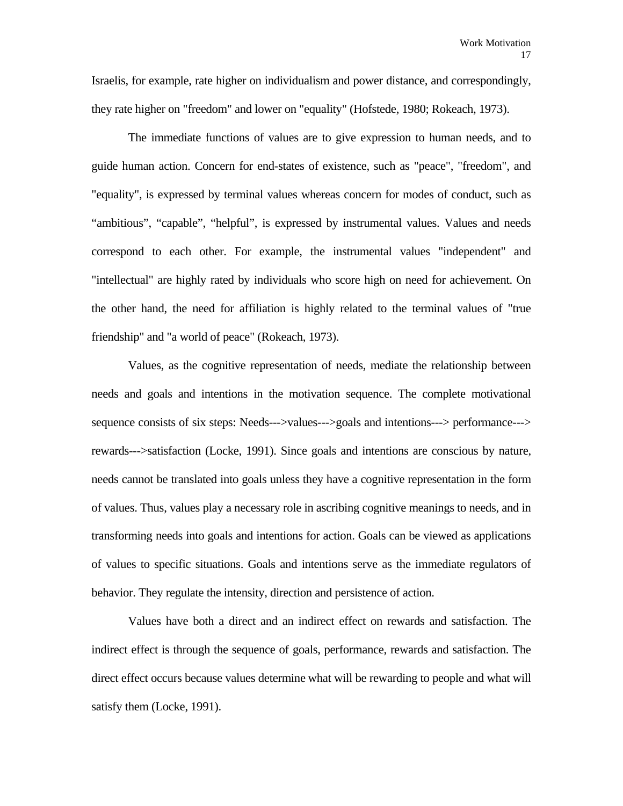Israelis, for example, rate higher on individualism and power distance, and correspondingly, they rate higher on "freedom" and lower on "equality" (Hofstede, 1980; Rokeach, 1973).

 The immediate functions of values are to give expression to human needs, and to guide human action. Concern for end-states of existence, such as "peace", "freedom", and "equality", is expressed by terminal values whereas concern for modes of conduct, such as "ambitious", "capable", "helpful", is expressed by instrumental values. Values and needs correspond to each other. For example, the instrumental values "independent" and "intellectual" are highly rated by individuals who score high on need for achievement. On the other hand, the need for affiliation is highly related to the terminal values of "true friendship" and "a world of peace" (Rokeach, 1973).

 Values, as the cognitive representation of needs, mediate the relationship between needs and goals and intentions in the motivation sequence. The complete motivational sequence consists of six steps: Needs--->values--->goals and intentions---> performance---> rewards--->satisfaction (Locke, 1991). Since goals and intentions are conscious by nature, needs cannot be translated into goals unless they have a cognitive representation in the form of values. Thus, values play a necessary role in ascribing cognitive meanings to needs, and in transforming needs into goals and intentions for action. Goals can be viewed as applications of values to specific situations. Goals and intentions serve as the immediate regulators of behavior. They regulate the intensity, direction and persistence of action.

 Values have both a direct and an indirect effect on rewards and satisfaction. The indirect effect is through the sequence of goals, performance, rewards and satisfaction. The direct effect occurs because values determine what will be rewarding to people and what will satisfy them (Locke, 1991).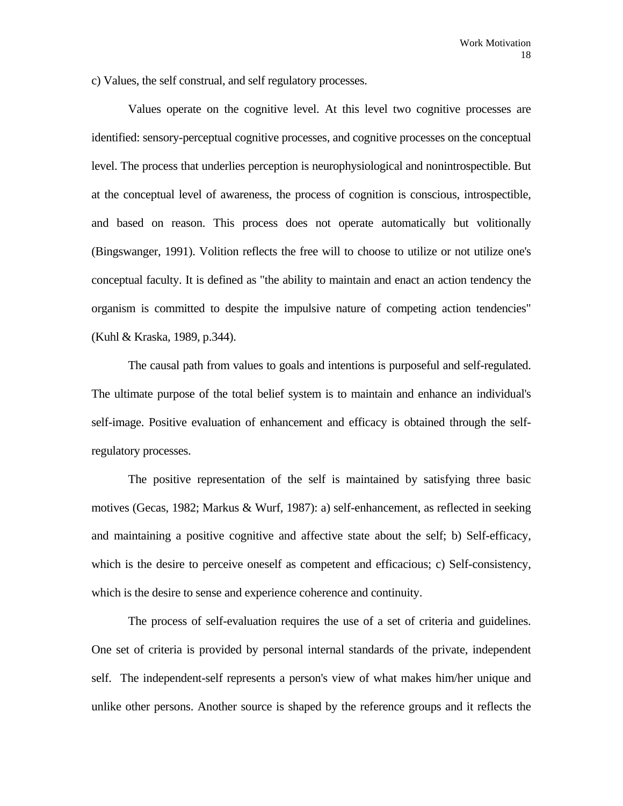c) Values, the self construal, and self regulatory processes.

 Values operate on the cognitive level. At this level two cognitive processes are identified: sensory-perceptual cognitive processes, and cognitive processes on the conceptual level. The process that underlies perception is neurophysiological and nonintrospectible. But at the conceptual level of awareness, the process of cognition is conscious, introspectible, and based on reason. This process does not operate automatically but volitionally (Bingswanger, 1991). Volition reflects the free will to choose to utilize or not utilize one's conceptual faculty. It is defined as "the ability to maintain and enact an action tendency the organism is committed to despite the impulsive nature of competing action tendencies" (Kuhl & Kraska, 1989, p.344).

 The causal path from values to goals and intentions is purposeful and self-regulated. The ultimate purpose of the total belief system is to maintain and enhance an individual's self-image. Positive evaluation of enhancement and efficacy is obtained through the selfregulatory processes.

 The positive representation of the self is maintained by satisfying three basic motives (Gecas, 1982; Markus & Wurf, 1987): a) self-enhancement, as reflected in seeking and maintaining a positive cognitive and affective state about the self; b) Self-efficacy, which is the desire to perceive oneself as competent and efficacious; c) Self-consistency, which is the desire to sense and experience coherence and continuity.

 The process of self-evaluation requires the use of a set of criteria and guidelines. One set of criteria is provided by personal internal standards of the private, independent self. The independent-self represents a person's view of what makes him/her unique and unlike other persons. Another source is shaped by the reference groups and it reflects the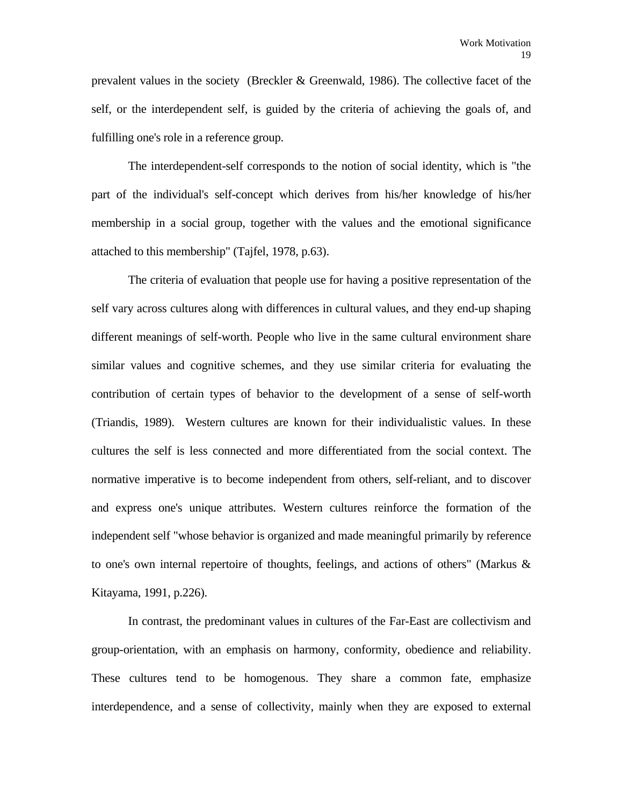prevalent values in the society (Breckler & Greenwald, 1986). The collective facet of the self, or the interdependent self, is guided by the criteria of achieving the goals of, and fulfilling one's role in a reference group.

 The interdependent-self corresponds to the notion of social identity, which is "the part of the individual's self-concept which derives from his/her knowledge of his/her membership in a social group, together with the values and the emotional significance attached to this membership" (Tajfel, 1978, p.63).

 The criteria of evaluation that people use for having a positive representation of the self vary across cultures along with differences in cultural values, and they end-up shaping different meanings of self-worth. People who live in the same cultural environment share similar values and cognitive schemes, and they use similar criteria for evaluating the contribution of certain types of behavior to the development of a sense of self-worth (Triandis, 1989). Western cultures are known for their individualistic values. In these cultures the self is less connected and more differentiated from the social context. The normative imperative is to become independent from others, self-reliant, and to discover and express one's unique attributes. Western cultures reinforce the formation of the independent self "whose behavior is organized and made meaningful primarily by reference to one's own internal repertoire of thoughts, feelings, and actions of others" (Markus & Kitayama, 1991, p.226).

 In contrast, the predominant values in cultures of the Far-East are collectivism and group-orientation, with an emphasis on harmony, conformity, obedience and reliability. These cultures tend to be homogenous. They share a common fate, emphasize interdependence, and a sense of collectivity, mainly when they are exposed to external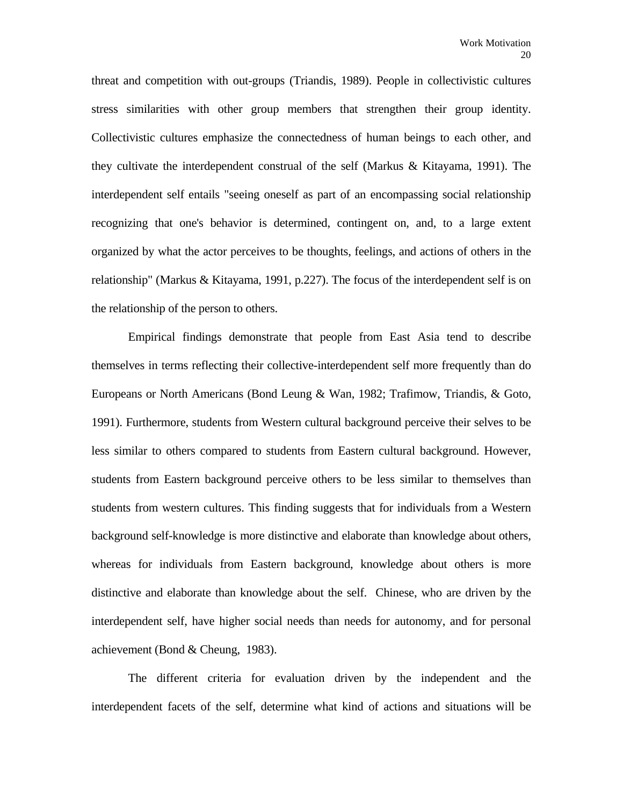threat and competition with out-groups (Triandis, 1989). People in collectivistic cultures stress similarities with other group members that strengthen their group identity. Collectivistic cultures emphasize the connectedness of human beings to each other, and they cultivate the interdependent construal of the self (Markus & Kitayama, 1991). The interdependent self entails "seeing oneself as part of an encompassing social relationship recognizing that one's behavior is determined, contingent on, and, to a large extent organized by what the actor perceives to be thoughts, feelings, and actions of others in the relationship" (Markus & Kitayama, 1991, p.227). The focus of the interdependent self is on the relationship of the person to others.

 Empirical findings demonstrate that people from East Asia tend to describe themselves in terms reflecting their collective-interdependent self more frequently than do Europeans or North Americans (Bond Leung & Wan, 1982; Trafimow, Triandis, & Goto, 1991). Furthermore, students from Western cultural background perceive their selves to be less similar to others compared to students from Eastern cultural background. However, students from Eastern background perceive others to be less similar to themselves than students from western cultures. This finding suggests that for individuals from a Western background self-knowledge is more distinctive and elaborate than knowledge about others, whereas for individuals from Eastern background, knowledge about others is more distinctive and elaborate than knowledge about the self. Chinese, who are driven by the interdependent self, have higher social needs than needs for autonomy, and for personal achievement (Bond & Cheung, 1983).

 The different criteria for evaluation driven by the independent and the interdependent facets of the self, determine what kind of actions and situations will be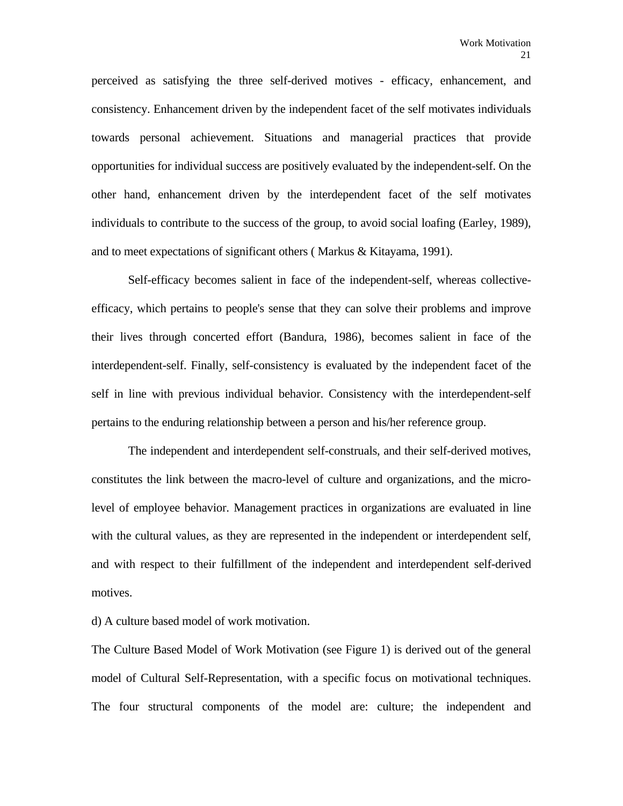perceived as satisfying the three self-derived motives - efficacy, enhancement, and consistency. Enhancement driven by the independent facet of the self motivates individuals towards personal achievement. Situations and managerial practices that provide opportunities for individual success are positively evaluated by the independent-self. On the other hand, enhancement driven by the interdependent facet of the self motivates individuals to contribute to the success of the group, to avoid social loafing (Earley, 1989), and to meet expectations of significant others ( Markus & Kitayama, 1991).

 Self-efficacy becomes salient in face of the independent-self, whereas collectiveefficacy, which pertains to people's sense that they can solve their problems and improve their lives through concerted effort (Bandura, 1986), becomes salient in face of the interdependent-self. Finally, self-consistency is evaluated by the independent facet of the self in line with previous individual behavior. Consistency with the interdependent-self pertains to the enduring relationship between a person and his/her reference group.

 The independent and interdependent self-construals, and their self-derived motives, constitutes the link between the macro-level of culture and organizations, and the microlevel of employee behavior. Management practices in organizations are evaluated in line with the cultural values, as they are represented in the independent or interdependent self, and with respect to their fulfillment of the independent and interdependent self-derived motives.

d) A culture based model of work motivation.

The Culture Based Model of Work Motivation (see Figure 1) is derived out of the general model of Cultural Self-Representation, with a specific focus on motivational techniques. The four structural components of the model are: culture; the independent and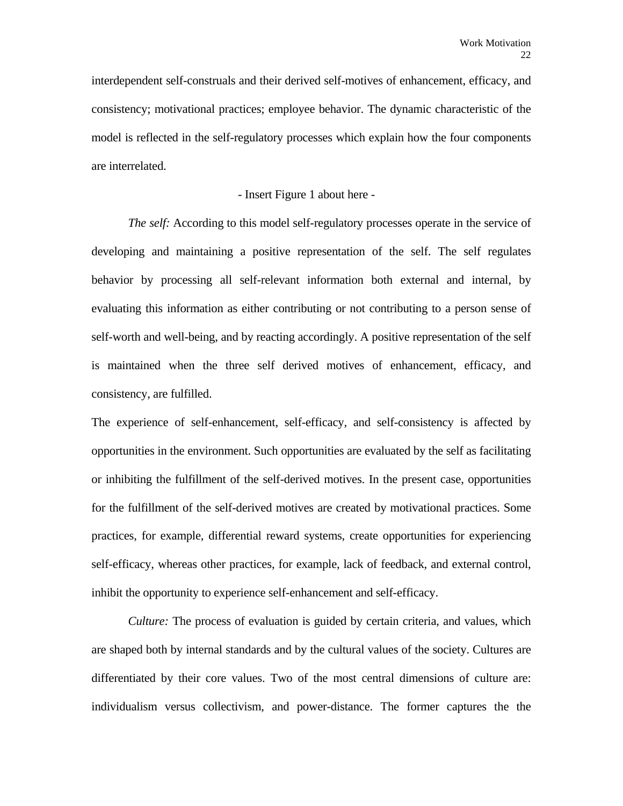interdependent self-construals and their derived self-motives of enhancement, efficacy, and consistency; motivational practices; employee behavior. The dynamic characteristic of the model is reflected in the self-regulatory processes which explain how the four components are interrelated.

#### - Insert Figure 1 about here -

*The self:* According to this model self-regulatory processes operate in the service of developing and maintaining a positive representation of the self. The self regulates behavior by processing all self-relevant information both external and internal, by evaluating this information as either contributing or not contributing to a person sense of self-worth and well-being, and by reacting accordingly. A positive representation of the self is maintained when the three self derived motives of enhancement, efficacy, and consistency, are fulfilled.

The experience of self-enhancement, self-efficacy, and self-consistency is affected by opportunities in the environment. Such opportunities are evaluated by the self as facilitating or inhibiting the fulfillment of the self-derived motives. In the present case, opportunities for the fulfillment of the self-derived motives are created by motivational practices. Some practices, for example, differential reward systems, create opportunities for experiencing self-efficacy, whereas other practices, for example, lack of feedback, and external control, inhibit the opportunity to experience self-enhancement and self-efficacy.

 *Culture:* The process of evaluation is guided by certain criteria, and values, which are shaped both by internal standards and by the cultural values of the society. Cultures are differentiated by their core values. Two of the most central dimensions of culture are: individualism versus collectivism, and power-distance. The former captures the the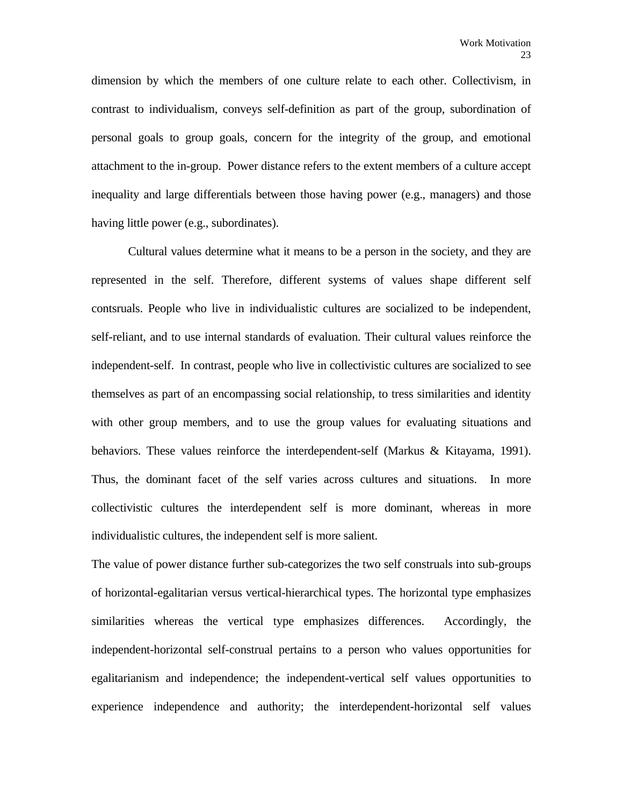dimension by which the members of one culture relate to each other. Collectivism, in contrast to individualism, conveys self-definition as part of the group, subordination of personal goals to group goals, concern for the integrity of the group, and emotional attachment to the in-group. Power distance refers to the extent members of a culture accept inequality and large differentials between those having power (e.g., managers) and those having little power (e.g., subordinates).

 Cultural values determine what it means to be a person in the society, and they are represented in the self. Therefore, different systems of values shape different self contsruals. People who live in individualistic cultures are socialized to be independent, self-reliant, and to use internal standards of evaluation. Their cultural values reinforce the independent-self. In contrast, people who live in collectivistic cultures are socialized to see themselves as part of an encompassing social relationship, to tress similarities and identity with other group members, and to use the group values for evaluating situations and behaviors. These values reinforce the interdependent-self (Markus & Kitayama, 1991). Thus, the dominant facet of the self varies across cultures and situations. In more collectivistic cultures the interdependent self is more dominant, whereas in more individualistic cultures, the independent self is more salient.

The value of power distance further sub-categorizes the two self construals into sub-groups of horizontal-egalitarian versus vertical-hierarchical types. The horizontal type emphasizes similarities whereas the vertical type emphasizes differences. Accordingly, the independent-horizontal self-construal pertains to a person who values opportunities for egalitarianism and independence; the independent-vertical self values opportunities to experience independence and authority; the interdependent-horizontal self values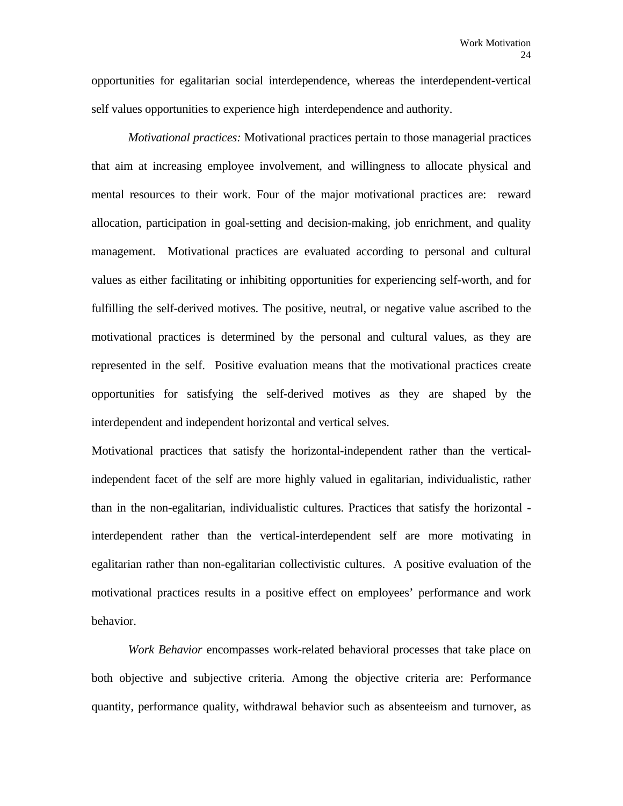opportunities for egalitarian social interdependence, whereas the interdependent-vertical self values opportunities to experience high interdependence and authority.

 *Motivational practices:* Motivational practices pertain to those managerial practices that aim at increasing employee involvement, and willingness to allocate physical and mental resources to their work. Four of the major motivational practices are: reward allocation, participation in goal-setting and decision-making, job enrichment, and quality management. Motivational practices are evaluated according to personal and cultural values as either facilitating or inhibiting opportunities for experiencing self-worth, and for fulfilling the self-derived motives. The positive, neutral, or negative value ascribed to the motivational practices is determined by the personal and cultural values, as they are represented in the self. Positive evaluation means that the motivational practices create opportunities for satisfying the self-derived motives as they are shaped by the interdependent and independent horizontal and vertical selves.

Motivational practices that satisfy the horizontal-independent rather than the verticalindependent facet of the self are more highly valued in egalitarian, individualistic, rather than in the non-egalitarian, individualistic cultures. Practices that satisfy the horizontal interdependent rather than the vertical-interdependent self are more motivating in egalitarian rather than non-egalitarian collectivistic cultures. A positive evaluation of the motivational practices results in a positive effect on employees' performance and work behavior.

 *Work Behavior* encompasses work-related behavioral processes that take place on both objective and subjective criteria. Among the objective criteria are: Performance quantity, performance quality, withdrawal behavior such as absenteeism and turnover, as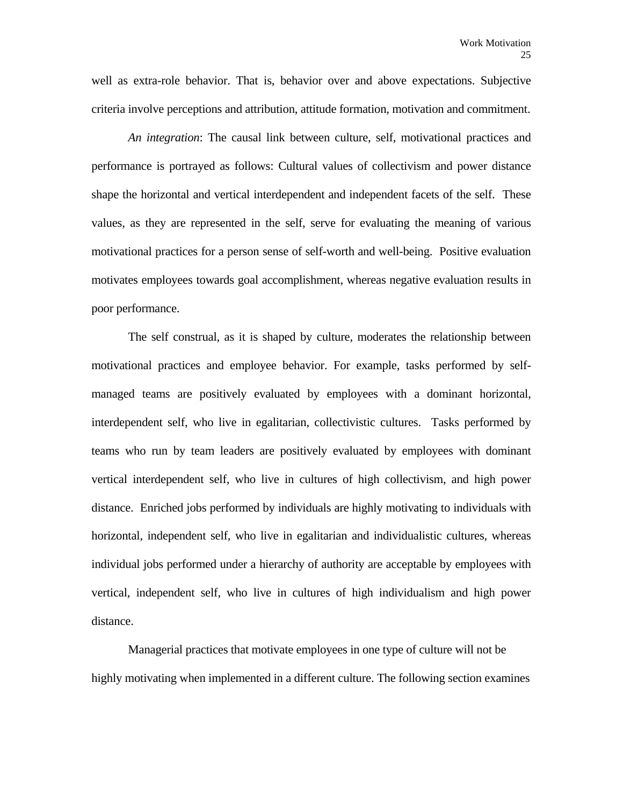well as extra-role behavior. That is, behavior over and above expectations. Subjective criteria involve perceptions and attribution, attitude formation, motivation and commitment.

 *An integration*: The causal link between culture, self, motivational practices and performance is portrayed as follows: Cultural values of collectivism and power distance shape the horizontal and vertical interdependent and independent facets of the self. These values, as they are represented in the self, serve for evaluating the meaning of various motivational practices for a person sense of self-worth and well-being. Positive evaluation motivates employees towards goal accomplishment, whereas negative evaluation results in poor performance.

 The self construal, as it is shaped by culture, moderates the relationship between motivational practices and employee behavior. For example, tasks performed by selfmanaged teams are positively evaluated by employees with a dominant horizontal, interdependent self, who live in egalitarian, collectivistic cultures. Tasks performed by teams who run by team leaders are positively evaluated by employees with dominant vertical interdependent self, who live in cultures of high collectivism, and high power distance. Enriched jobs performed by individuals are highly motivating to individuals with horizontal, independent self, who live in egalitarian and individualistic cultures, whereas individual jobs performed under a hierarchy of authority are acceptable by employees with vertical, independent self, who live in cultures of high individualism and high power distance.

 Managerial practices that motivate employees in one type of culture will not be highly motivating when implemented in a different culture. The following section examines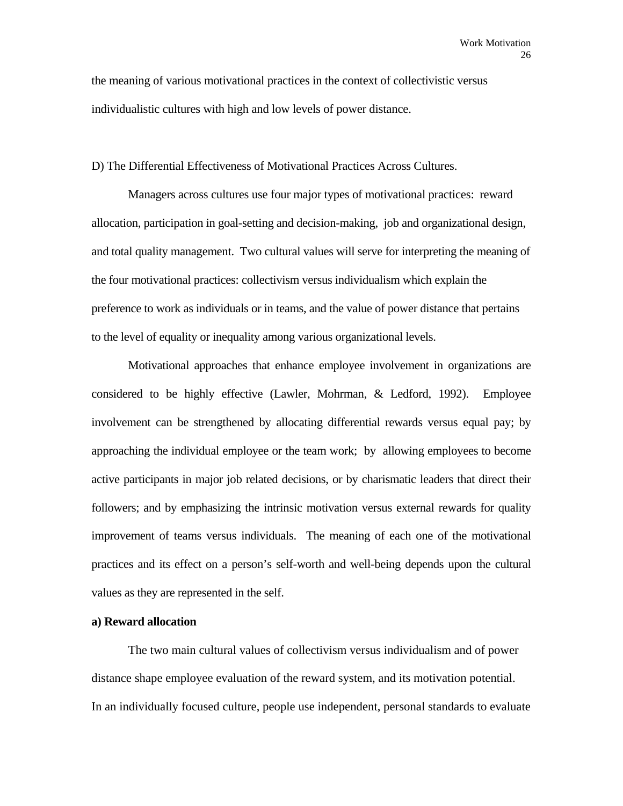the meaning of various motivational practices in the context of collectivistic versus individualistic cultures with high and low levels of power distance.

D) The Differential Effectiveness of Motivational Practices Across Cultures.

 Managers across cultures use four major types of motivational practices: reward allocation, participation in goal-setting and decision-making, job and organizational design, and total quality management. Two cultural values will serve for interpreting the meaning of the four motivational practices: collectivism versus individualism which explain the preference to work as individuals or in teams, and the value of power distance that pertains to the level of equality or inequality among various organizational levels.

 Motivational approaches that enhance employee involvement in organizations are considered to be highly effective (Lawler, Mohrman, & Ledford, 1992). Employee involvement can be strengthened by allocating differential rewards versus equal pay; by approaching the individual employee or the team work; by allowing employees to become active participants in major job related decisions, or by charismatic leaders that direct their followers; and by emphasizing the intrinsic motivation versus external rewards for quality improvement of teams versus individuals. The meaning of each one of the motivational practices and its effect on a person's self-worth and well-being depends upon the cultural values as they are represented in the self.

# **a) Reward allocation**

 The two main cultural values of collectivism versus individualism and of power distance shape employee evaluation of the reward system, and its motivation potential. In an individually focused culture, people use independent, personal standards to evaluate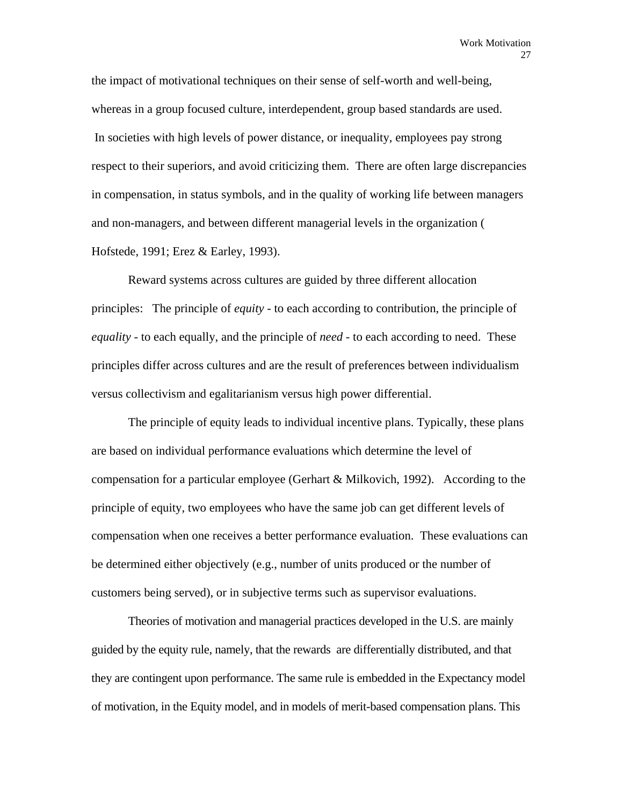the impact of motivational techniques on their sense of self-worth and well-being, whereas in a group focused culture, interdependent, group based standards are used. In societies with high levels of power distance, or inequality, employees pay strong respect to their superiors, and avoid criticizing them. There are often large discrepancies in compensation, in status symbols, and in the quality of working life between managers and non-managers, and between different managerial levels in the organization ( Hofstede, 1991; Erez & Earley, 1993).

 Reward systems across cultures are guided by three different allocation principles: The principle of *equity* - to each according to contribution, the principle of *equality* - to each equally, and the principle of *need* - to each according to need. These principles differ across cultures and are the result of preferences between individualism versus collectivism and egalitarianism versus high power differential.

 The principle of equity leads to individual incentive plans. Typically, these plans are based on individual performance evaluations which determine the level of compensation for a particular employee (Gerhart & Milkovich, 1992). According to the principle of equity, two employees who have the same job can get different levels of compensation when one receives a better performance evaluation. These evaluations can be determined either objectively (e.g., number of units produced or the number of customers being served), or in subjective terms such as supervisor evaluations.

 Theories of motivation and managerial practices developed in the U.S. are mainly guided by the equity rule, namely, that the rewards are differentially distributed, and that they are contingent upon performance. The same rule is embedded in the Expectancy model of motivation, in the Equity model, and in models of merit-based compensation plans. This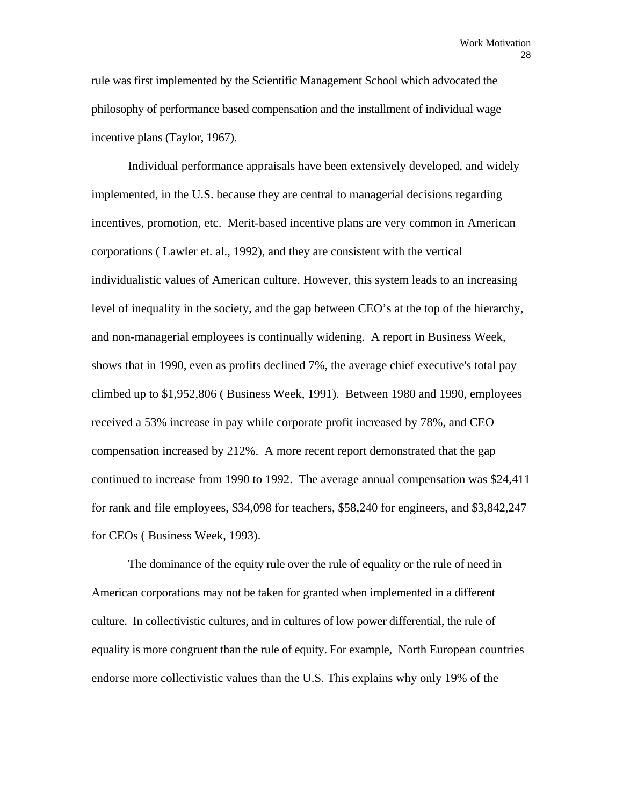rule was first implemented by the Scientific Management School which advocated the philosophy of performance based compensation and the installment of individual wage incentive plans (Taylor, 1967).

 Individual performance appraisals have been extensively developed, and widely implemented, in the U.S. because they are central to managerial decisions regarding incentives, promotion, etc. Merit-based incentive plans are very common in American corporations ( Lawler et. al., 1992), and they are consistent with the vertical individualistic values of American culture. However, this system leads to an increasing level of inequality in the society, and the gap between CEO's at the top of the hierarchy, and non-managerial employees is continually widening. A report in Business Week, shows that in 1990, even as profits declined 7%, the average chief executive's total pay climbed up to \$1,952,806 ( Business Week, 1991). Between 1980 and 1990, employees received a 53% increase in pay while corporate profit increased by 78%, and CEO compensation increased by 212%. A more recent report demonstrated that the gap continued to increase from 1990 to 1992. The average annual compensation was \$24,411 for rank and file employees, \$34,098 for teachers, \$58,240 for engineers, and \$3,842,247 for CEOs ( Business Week, 1993).

The dominance of the equity rule over the rule of equality or the rule of need in American corporations may not be taken for granted when implemented in a different culture. In collectivistic cultures, and in cultures of low power differential, the rule of equality is more congruent than the rule of equity. For example, North European countries endorse more collectivistic values than the U.S. This explains why only 19% of the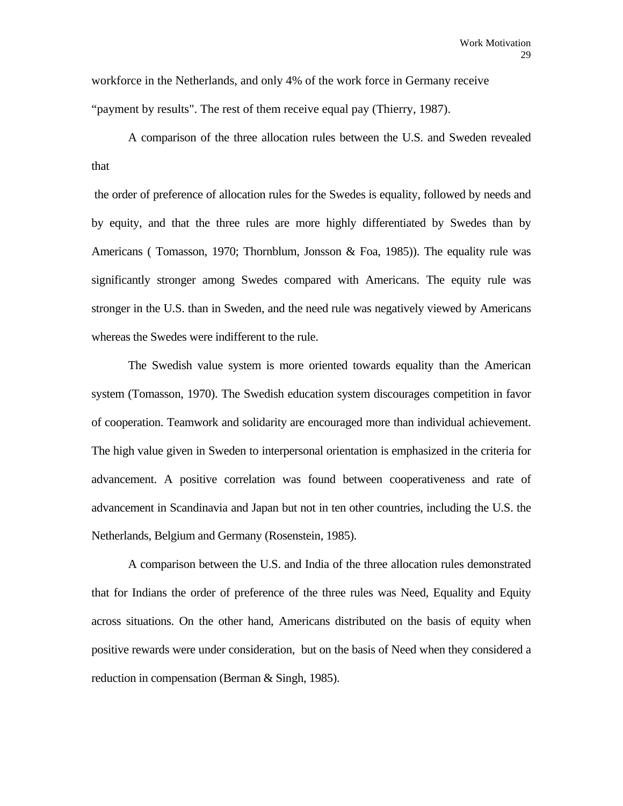workforce in the Netherlands, and only 4% of the work force in Germany receive "payment by results". The rest of them receive equal pay (Thierry, 1987).

 A comparison of the three allocation rules between the U.S. and Sweden revealed that

 the order of preference of allocation rules for the Swedes is equality, followed by needs and by equity, and that the three rules are more highly differentiated by Swedes than by Americans ( Tomasson, 1970; Thornblum, Jonsson & Foa, 1985)). The equality rule was significantly stronger among Swedes compared with Americans. The equity rule was stronger in the U.S. than in Sweden, and the need rule was negatively viewed by Americans whereas the Swedes were indifferent to the rule.

 The Swedish value system is more oriented towards equality than the American system (Tomasson, 1970). The Swedish education system discourages competition in favor of cooperation. Teamwork and solidarity are encouraged more than individual achievement. The high value given in Sweden to interpersonal orientation is emphasized in the criteria for advancement. A positive correlation was found between cooperativeness and rate of advancement in Scandinavia and Japan but not in ten other countries, including the U.S. the Netherlands, Belgium and Germany (Rosenstein, 1985).

 A comparison between the U.S. and India of the three allocation rules demonstrated that for Indians the order of preference of the three rules was Need, Equality and Equity across situations. On the other hand, Americans distributed on the basis of equity when positive rewards were under consideration, but on the basis of Need when they considered a reduction in compensation (Berman & Singh, 1985).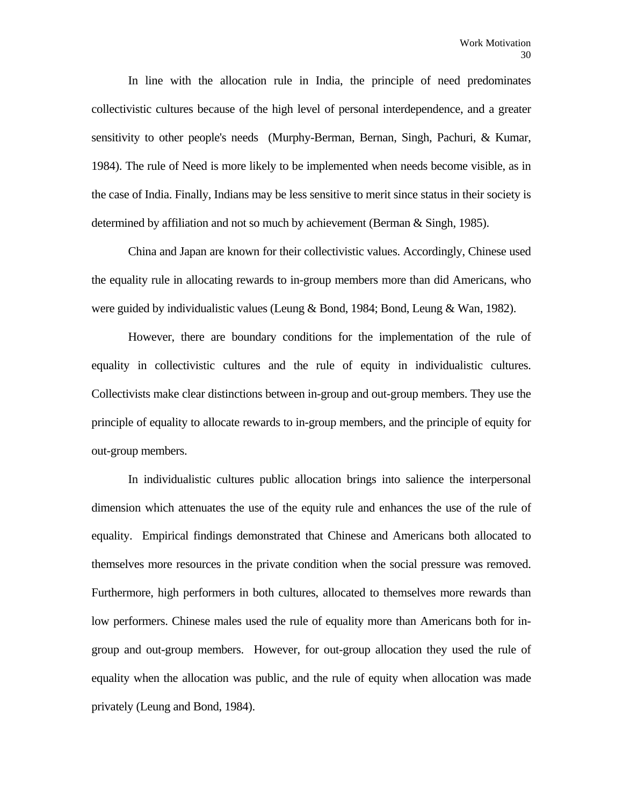In line with the allocation rule in India, the principle of need predominates collectivistic cultures because of the high level of personal interdependence, and a greater sensitivity to other people's needs (Murphy-Berman, Bernan, Singh, Pachuri, & Kumar, 1984). The rule of Need is more likely to be implemented when needs become visible, as in the case of India. Finally, Indians may be less sensitive to merit since status in their society is determined by affiliation and not so much by achievement (Berman & Singh, 1985).

 China and Japan are known for their collectivistic values. Accordingly, Chinese used the equality rule in allocating rewards to in-group members more than did Americans, who were guided by individualistic values (Leung & Bond, 1984; Bond, Leung & Wan, 1982).

 However, there are boundary conditions for the implementation of the rule of equality in collectivistic cultures and the rule of equity in individualistic cultures. Collectivists make clear distinctions between in-group and out-group members. They use the principle of equality to allocate rewards to in-group members, and the principle of equity for out-group members.

 In individualistic cultures public allocation brings into salience the interpersonal dimension which attenuates the use of the equity rule and enhances the use of the rule of equality. Empirical findings demonstrated that Chinese and Americans both allocated to themselves more resources in the private condition when the social pressure was removed. Furthermore, high performers in both cultures, allocated to themselves more rewards than low performers. Chinese males used the rule of equality more than Americans both for ingroup and out-group members. However, for out-group allocation they used the rule of equality when the allocation was public, and the rule of equity when allocation was made privately (Leung and Bond, 1984).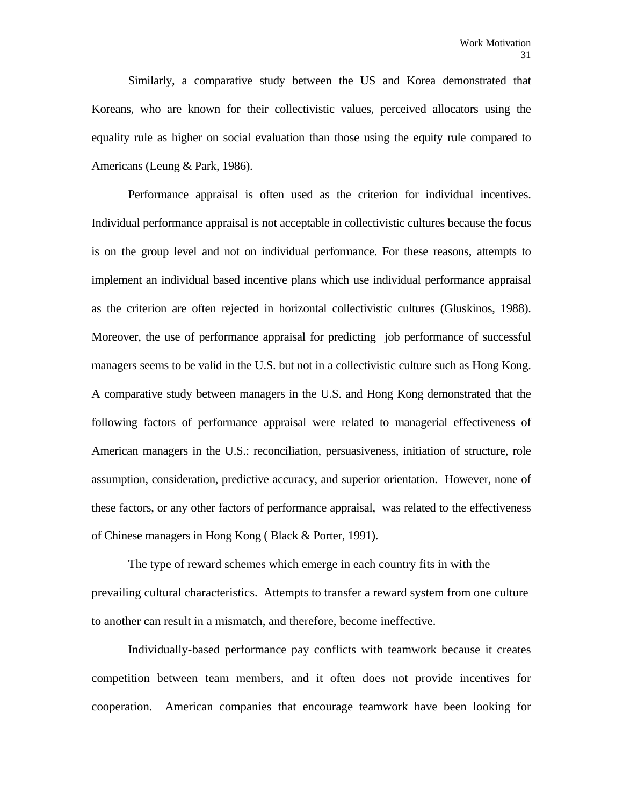Similarly, a comparative study between the US and Korea demonstrated that Koreans, who are known for their collectivistic values, perceived allocators using the equality rule as higher on social evaluation than those using the equity rule compared to Americans (Leung & Park, 1986).

 Performance appraisal is often used as the criterion for individual incentives. Individual performance appraisal is not acceptable in collectivistic cultures because the focus is on the group level and not on individual performance. For these reasons, attempts to implement an individual based incentive plans which use individual performance appraisal as the criterion are often rejected in horizontal collectivistic cultures (Gluskinos, 1988). Moreover, the use of performance appraisal for predicting job performance of successful managers seems to be valid in the U.S. but not in a collectivistic culture such as Hong Kong. A comparative study between managers in the U.S. and Hong Kong demonstrated that the following factors of performance appraisal were related to managerial effectiveness of American managers in the U.S.: reconciliation, persuasiveness, initiation of structure, role assumption, consideration, predictive accuracy, and superior orientation. However, none of these factors, or any other factors of performance appraisal, was related to the effectiveness of Chinese managers in Hong Kong ( Black & Porter, 1991).

 The type of reward schemes which emerge in each country fits in with the prevailing cultural characteristics. Attempts to transfer a reward system from one culture to another can result in a mismatch, and therefore, become ineffective.

 Individually-based performance pay conflicts with teamwork because it creates competition between team members, and it often does not provide incentives for cooperation. American companies that encourage teamwork have been looking for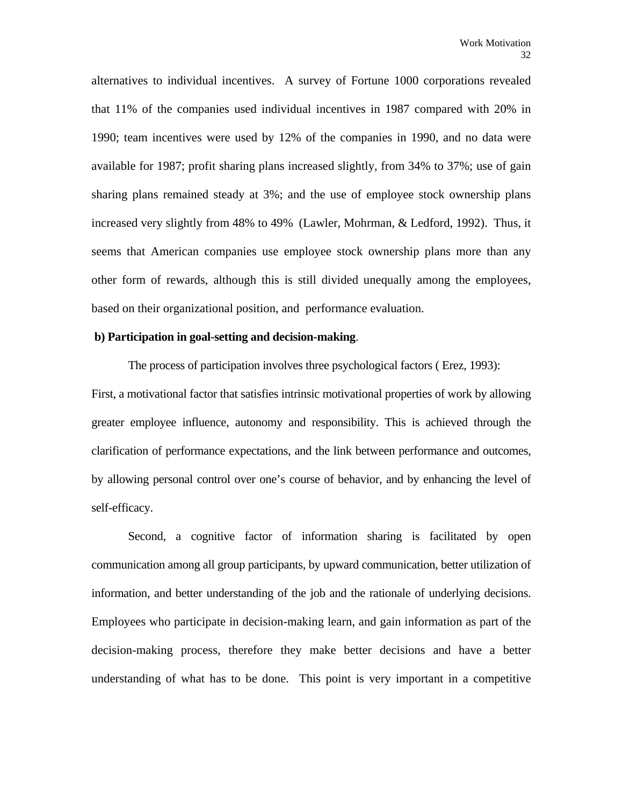alternatives to individual incentives. A survey of Fortune 1000 corporations revealed that 11% of the companies used individual incentives in 1987 compared with 20% in 1990; team incentives were used by 12% of the companies in 1990, and no data were available for 1987; profit sharing plans increased slightly, from 34% to 37%; use of gain sharing plans remained steady at 3%; and the use of employee stock ownership plans increased very slightly from 48% to 49% (Lawler, Mohrman, & Ledford, 1992). Thus, it seems that American companies use employee stock ownership plans more than any other form of rewards, although this is still divided unequally among the employees, based on their organizational position, and performance evaluation.

# **b) Participation in goal-setting and decision-making**.

 The process of participation involves three psychological factors ( Erez, 1993): First, a motivational factor that satisfies intrinsic motivational properties of work by allowing greater employee influence, autonomy and responsibility. This is achieved through the clarification of performance expectations, and the link between performance and outcomes, by allowing personal control over one's course of behavior, and by enhancing the level of self-efficacy.

 Second, a cognitive factor of information sharing is facilitated by open communication among all group participants, by upward communication, better utilization of information, and better understanding of the job and the rationale of underlying decisions. Employees who participate in decision-making learn, and gain information as part of the decision-making process, therefore they make better decisions and have a better understanding of what has to be done. This point is very important in a competitive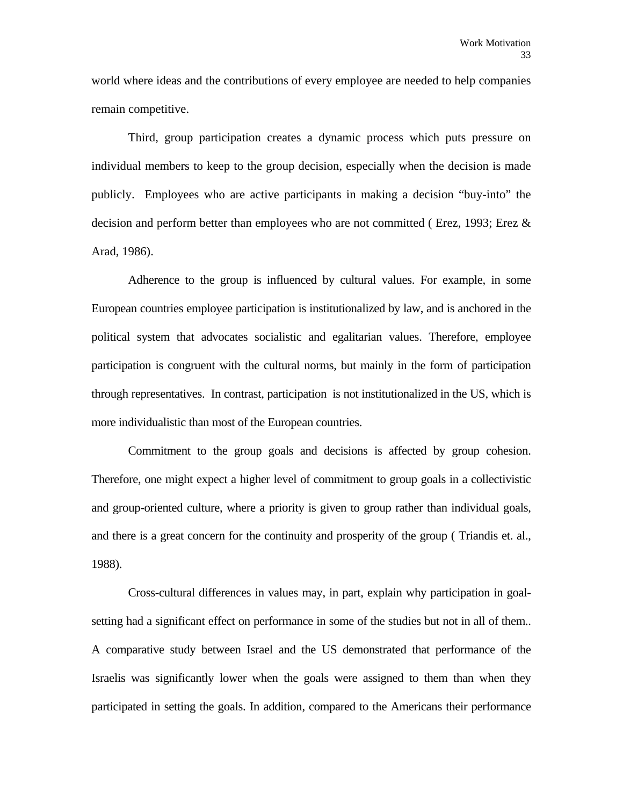world where ideas and the contributions of every employee are needed to help companies remain competitive.

 Third, group participation creates a dynamic process which puts pressure on individual members to keep to the group decision, especially when the decision is made publicly. Employees who are active participants in making a decision "buy-into" the decision and perform better than employees who are not committed ( Erez, 1993; Erez & Arad, 1986).

 Adherence to the group is influenced by cultural values. For example, in some European countries employee participation is institutionalized by law, and is anchored in the political system that advocates socialistic and egalitarian values. Therefore, employee participation is congruent with the cultural norms, but mainly in the form of participation through representatives. In contrast, participation is not institutionalized in the US, which is more individualistic than most of the European countries.

 Commitment to the group goals and decisions is affected by group cohesion. Therefore, one might expect a higher level of commitment to group goals in a collectivistic and group-oriented culture, where a priority is given to group rather than individual goals, and there is a great concern for the continuity and prosperity of the group ( Triandis et. al., 1988).

 Cross-cultural differences in values may, in part, explain why participation in goalsetting had a significant effect on performance in some of the studies but not in all of them.. A comparative study between Israel and the US demonstrated that performance of the Israelis was significantly lower when the goals were assigned to them than when they participated in setting the goals. In addition, compared to the Americans their performance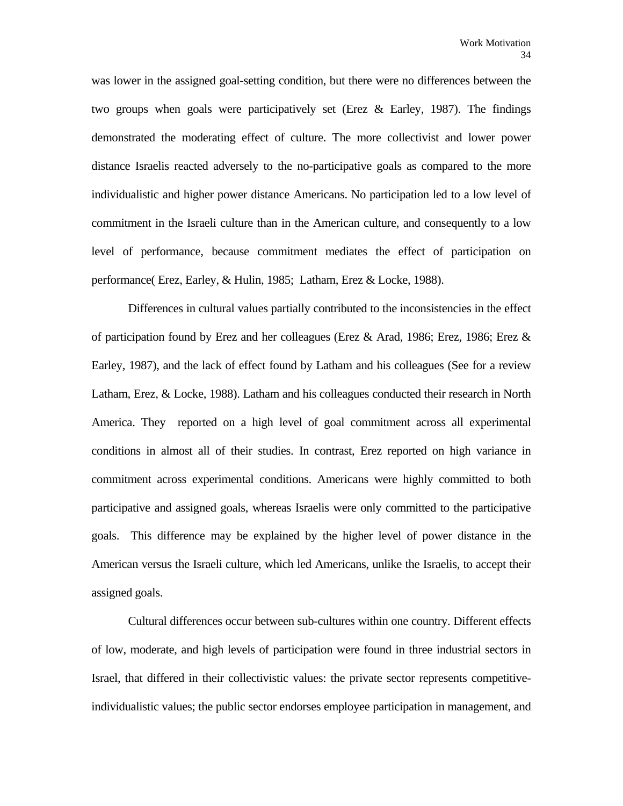was lower in the assigned goal-setting condition, but there were no differences between the two groups when goals were participatively set (Erez & Earley, 1987). The findings demonstrated the moderating effect of culture. The more collectivist and lower power distance Israelis reacted adversely to the no-participative goals as compared to the more individualistic and higher power distance Americans. No participation led to a low level of commitment in the Israeli culture than in the American culture, and consequently to a low level of performance, because commitment mediates the effect of participation on performance( Erez, Earley, & Hulin, 1985; Latham, Erez & Locke, 1988).

 Differences in cultural values partially contributed to the inconsistencies in the effect of participation found by Erez and her colleagues (Erez  $\&$  Arad, 1986; Erez, 1986; Erez  $\&$ Earley, 1987), and the lack of effect found by Latham and his colleagues (See for a review Latham, Erez, & Locke, 1988). Latham and his colleagues conducted their research in North America. They reported on a high level of goal commitment across all experimental conditions in almost all of their studies. In contrast, Erez reported on high variance in commitment across experimental conditions. Americans were highly committed to both participative and assigned goals, whereas Israelis were only committed to the participative goals. This difference may be explained by the higher level of power distance in the American versus the Israeli culture, which led Americans, unlike the Israelis, to accept their assigned goals.

 Cultural differences occur between sub-cultures within one country. Different effects of low, moderate, and high levels of participation were found in three industrial sectors in Israel, that differed in their collectivistic values: the private sector represents competitiveindividualistic values; the public sector endorses employee participation in management, and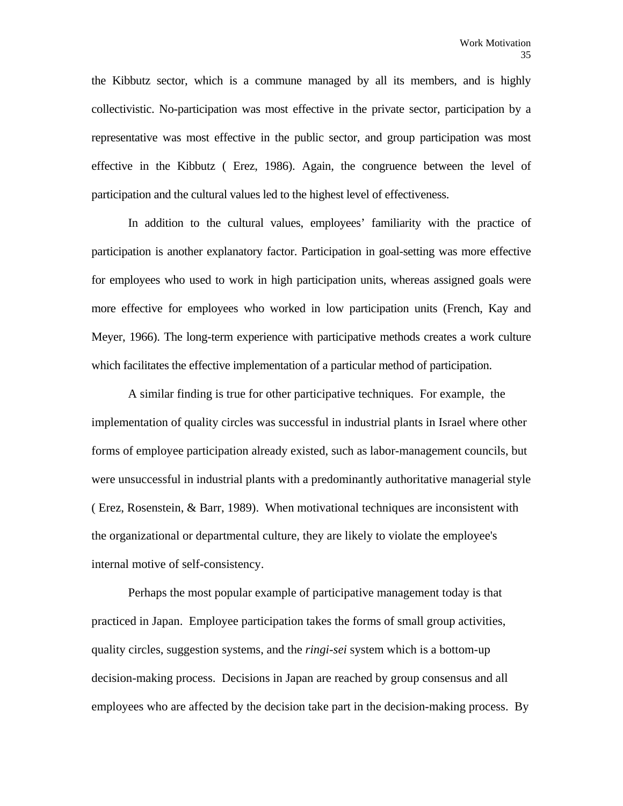the Kibbutz sector, which is a commune managed by all its members, and is highly collectivistic. No-participation was most effective in the private sector, participation by a representative was most effective in the public sector, and group participation was most effective in the Kibbutz ( Erez, 1986). Again, the congruence between the level of participation and the cultural values led to the highest level of effectiveness.

 In addition to the cultural values, employees' familiarity with the practice of participation is another explanatory factor. Participation in goal-setting was more effective for employees who used to work in high participation units, whereas assigned goals were more effective for employees who worked in low participation units (French, Kay and Meyer, 1966). The long-term experience with participative methods creates a work culture which facilitates the effective implementation of a particular method of participation.

 A similar finding is true for other participative techniques. For example, the implementation of quality circles was successful in industrial plants in Israel where other forms of employee participation already existed, such as labor-management councils, but were unsuccessful in industrial plants with a predominantly authoritative managerial style ( Erez, Rosenstein, & Barr, 1989). When motivational techniques are inconsistent with the organizational or departmental culture, they are likely to violate the employee's internal motive of self-consistency.

 Perhaps the most popular example of participative management today is that practiced in Japan. Employee participation takes the forms of small group activities, quality circles, suggestion systems, and the *ringi-sei* system which is a bottom-up decision-making process. Decisions in Japan are reached by group consensus and all employees who are affected by the decision take part in the decision-making process. By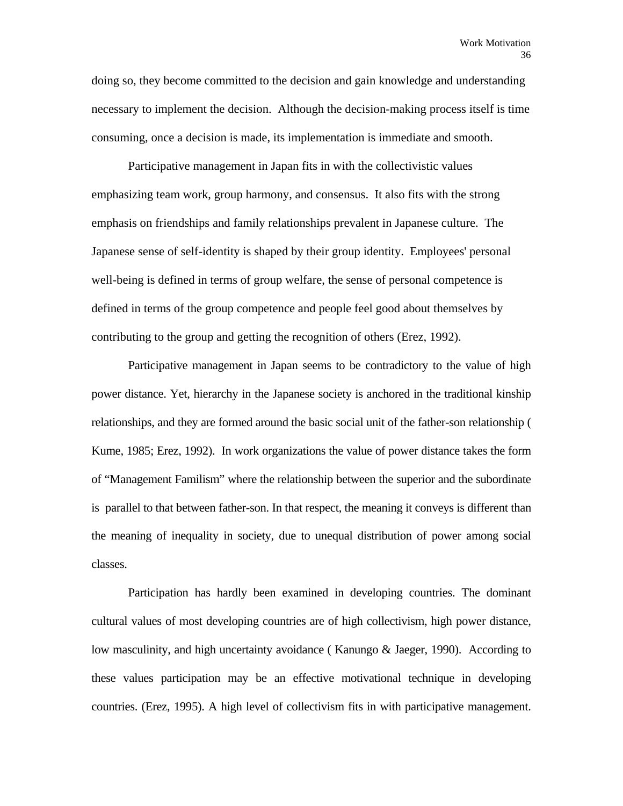doing so, they become committed to the decision and gain knowledge and understanding necessary to implement the decision. Although the decision-making process itself is time consuming, once a decision is made, its implementation is immediate and smooth.

 Participative management in Japan fits in with the collectivistic values emphasizing team work, group harmony, and consensus. It also fits with the strong emphasis on friendships and family relationships prevalent in Japanese culture. The Japanese sense of self-identity is shaped by their group identity. Employees' personal well-being is defined in terms of group welfare, the sense of personal competence is defined in terms of the group competence and people feel good about themselves by contributing to the group and getting the recognition of others (Erez, 1992).

 Participative management in Japan seems to be contradictory to the value of high power distance. Yet, hierarchy in the Japanese society is anchored in the traditional kinship relationships, and they are formed around the basic social unit of the father-son relationship ( Kume, 1985; Erez, 1992). In work organizations the value of power distance takes the form of "Management Familism" where the relationship between the superior and the subordinate is parallel to that between father-son. In that respect, the meaning it conveys is different than the meaning of inequality in society, due to unequal distribution of power among social classes.

 Participation has hardly been examined in developing countries. The dominant cultural values of most developing countries are of high collectivism, high power distance, low masculinity, and high uncertainty avoidance ( Kanungo & Jaeger, 1990). According to these values participation may be an effective motivational technique in developing countries. (Erez, 1995). A high level of collectivism fits in with participative management.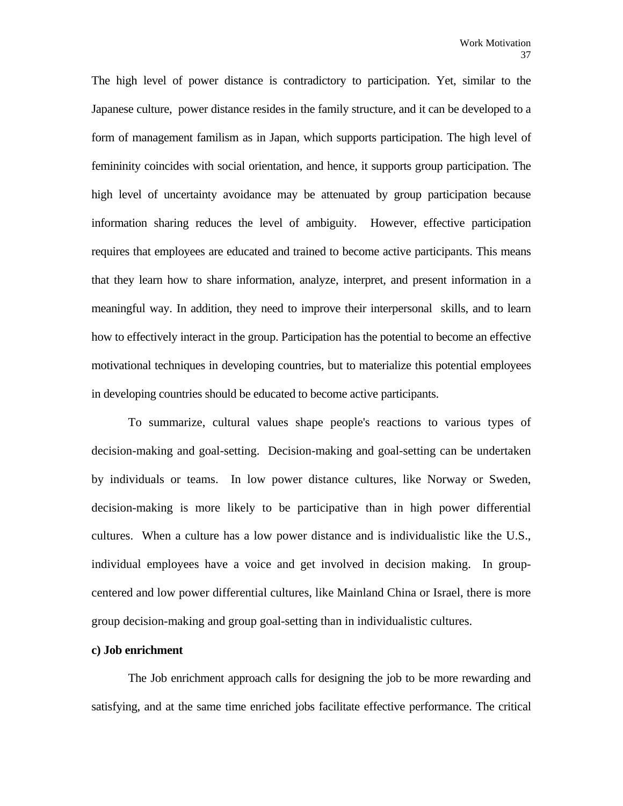The high level of power distance is contradictory to participation. Yet, similar to the Japanese culture, power distance resides in the family structure, and it can be developed to a form of management familism as in Japan, which supports participation. The high level of femininity coincides with social orientation, and hence, it supports group participation. The high level of uncertainty avoidance may be attenuated by group participation because information sharing reduces the level of ambiguity. However, effective participation requires that employees are educated and trained to become active participants. This means that they learn how to share information, analyze, interpret, and present information in a meaningful way. In addition, they need to improve their interpersonal skills, and to learn how to effectively interact in the group. Participation has the potential to become an effective motivational techniques in developing countries, but to materialize this potential employees in developing countries should be educated to become active participants.

 To summarize, cultural values shape people's reactions to various types of decision-making and goal-setting. Decision-making and goal-setting can be undertaken by individuals or teams. In low power distance cultures, like Norway or Sweden, decision-making is more likely to be participative than in high power differential cultures. When a culture has a low power distance and is individualistic like the U.S., individual employees have a voice and get involved in decision making. In groupcentered and low power differential cultures, like Mainland China or Israel, there is more group decision-making and group goal-setting than in individualistic cultures.

# **c) Job enrichment**

 The Job enrichment approach calls for designing the job to be more rewarding and satisfying, and at the same time enriched jobs facilitate effective performance. The critical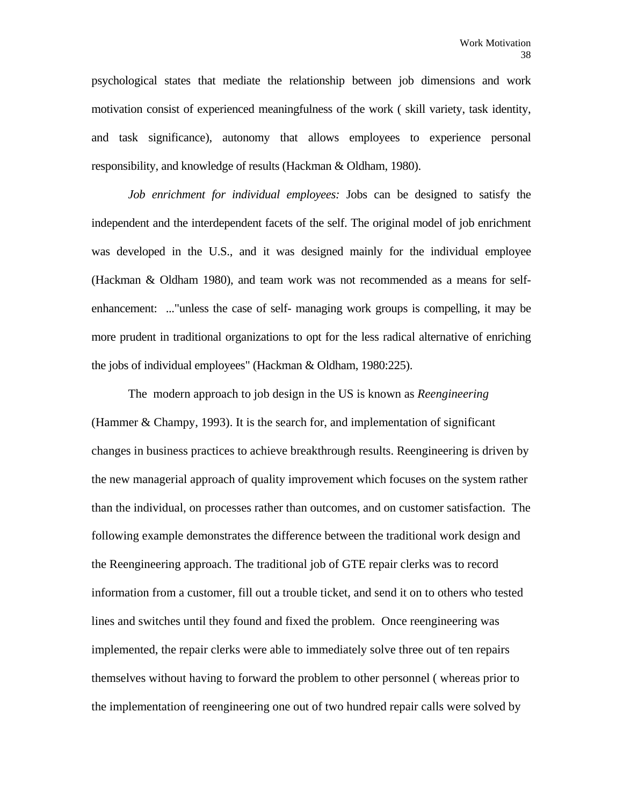psychological states that mediate the relationship between job dimensions and work motivation consist of experienced meaningfulness of the work ( skill variety, task identity, and task significance), autonomy that allows employees to experience personal responsibility, and knowledge of results (Hackman & Oldham, 1980).

*Job enrichment for individual employees:* Jobs can be designed to satisfy the independent and the interdependent facets of the self. The original model of job enrichment was developed in the U.S., and it was designed mainly for the individual employee (Hackman & Oldham 1980), and team work was not recommended as a means for selfenhancement: ..."unless the case of self- managing work groups is compelling, it may be more prudent in traditional organizations to opt for the less radical alternative of enriching the jobs of individual employees" (Hackman & Oldham, 1980:225).

 The modern approach to job design in the US is known as *Reengineering*  (Hammer & Champy, 1993). It is the search for, and implementation of significant changes in business practices to achieve breakthrough results. Reengineering is driven by the new managerial approach of quality improvement which focuses on the system rather than the individual, on processes rather than outcomes, and on customer satisfaction. The following example demonstrates the difference between the traditional work design and the Reengineering approach. The traditional job of GTE repair clerks was to record information from a customer, fill out a trouble ticket, and send it on to others who tested lines and switches until they found and fixed the problem. Once reengineering was implemented, the repair clerks were able to immediately solve three out of ten repairs themselves without having to forward the problem to other personnel ( whereas prior to the implementation of reengineering one out of two hundred repair calls were solved by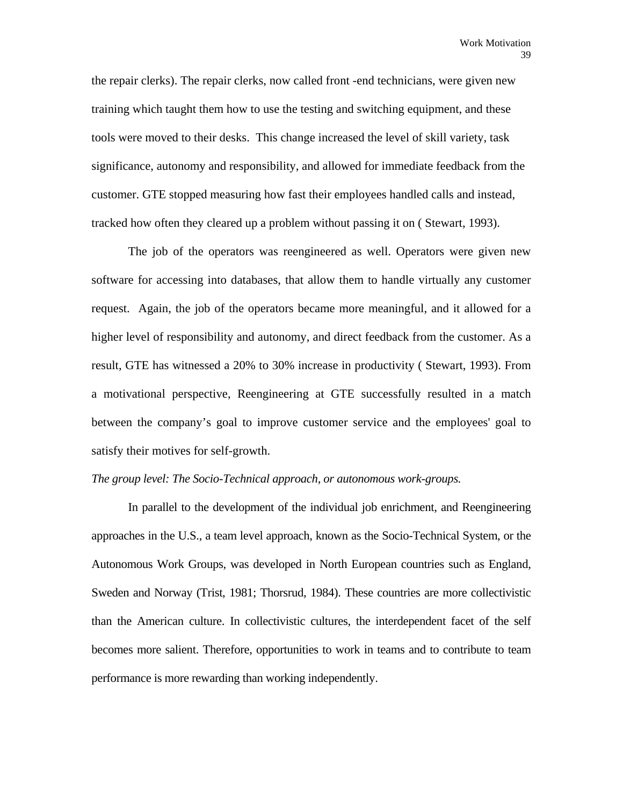the repair clerks). The repair clerks, now called front -end technicians, were given new training which taught them how to use the testing and switching equipment, and these tools were moved to their desks. This change increased the level of skill variety, task significance, autonomy and responsibility, and allowed for immediate feedback from the customer. GTE stopped measuring how fast their employees handled calls and instead, tracked how often they cleared up a problem without passing it on ( Stewart, 1993).

 The job of the operators was reengineered as well. Operators were given new software for accessing into databases, that allow them to handle virtually any customer request. Again, the job of the operators became more meaningful, and it allowed for a higher level of responsibility and autonomy, and direct feedback from the customer. As a result, GTE has witnessed a 20% to 30% increase in productivity ( Stewart, 1993). From a motivational perspective, Reengineering at GTE successfully resulted in a match between the company's goal to improve customer service and the employees' goal to satisfy their motives for self-growth.

## *The group level: The Socio-Technical approach, or autonomous work-groups.*

 In parallel to the development of the individual job enrichment, and Reengineering approaches in the U.S., a team level approach, known as the Socio-Technical System, or the Autonomous Work Groups, was developed in North European countries such as England, Sweden and Norway (Trist, 1981; Thorsrud, 1984). These countries are more collectivistic than the American culture. In collectivistic cultures, the interdependent facet of the self becomes more salient. Therefore, opportunities to work in teams and to contribute to team performance is more rewarding than working independently.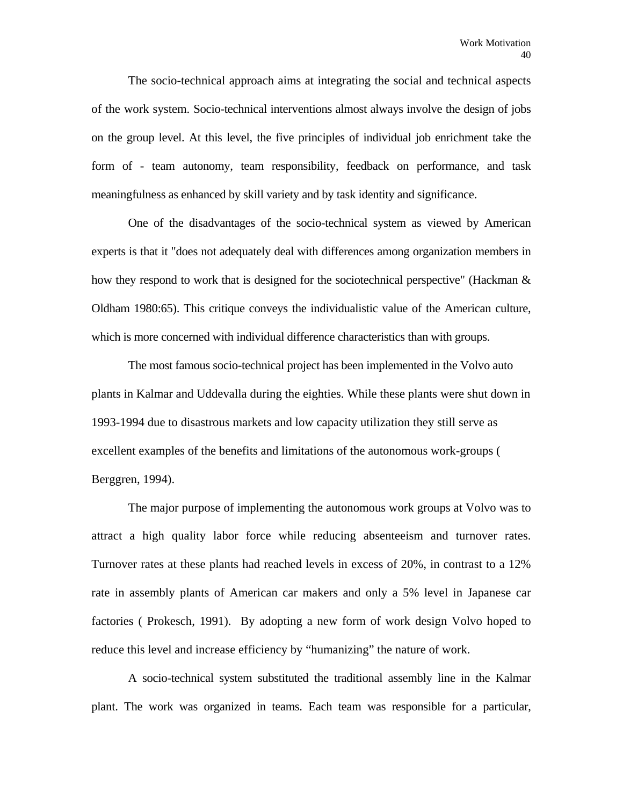The socio-technical approach aims at integrating the social and technical aspects of the work system. Socio-technical interventions almost always involve the design of jobs on the group level. At this level, the five principles of individual job enrichment take the form of - team autonomy, team responsibility, feedback on performance, and task meaningfulness as enhanced by skill variety and by task identity and significance.

 One of the disadvantages of the socio-technical system as viewed by American experts is that it "does not adequately deal with differences among organization members in how they respond to work that is designed for the sociotechnical perspective" (Hackman & Oldham 1980:65). This critique conveys the individualistic value of the American culture, which is more concerned with individual difference characteristics than with groups.

 The most famous socio-technical project has been implemented in the Volvo auto plants in Kalmar and Uddevalla during the eighties. While these plants were shut down in 1993-1994 due to disastrous markets and low capacity utilization they still serve as excellent examples of the benefits and limitations of the autonomous work-groups ( Berggren, 1994).

 The major purpose of implementing the autonomous work groups at Volvo was to attract a high quality labor force while reducing absenteeism and turnover rates. Turnover rates at these plants had reached levels in excess of 20%, in contrast to a 12% rate in assembly plants of American car makers and only a 5% level in Japanese car factories ( Prokesch, 1991). By adopting a new form of work design Volvo hoped to reduce this level and increase efficiency by "humanizing" the nature of work.

 A socio-technical system substituted the traditional assembly line in the Kalmar plant. The work was organized in teams. Each team was responsible for a particular,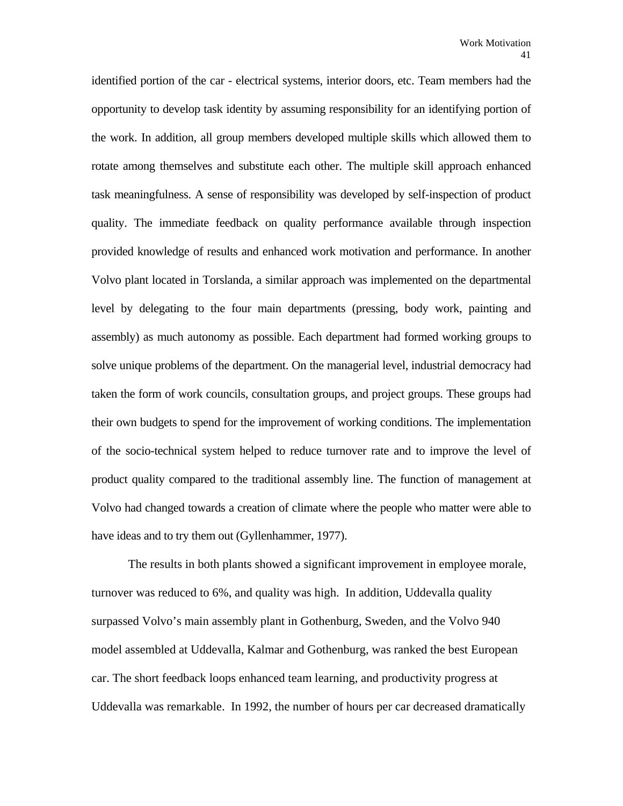identified portion of the car - electrical systems, interior doors, etc. Team members had the opportunity to develop task identity by assuming responsibility for an identifying portion of the work. In addition, all group members developed multiple skills which allowed them to rotate among themselves and substitute each other. The multiple skill approach enhanced task meaningfulness. A sense of responsibility was developed by self-inspection of product quality. The immediate feedback on quality performance available through inspection provided knowledge of results and enhanced work motivation and performance. In another Volvo plant located in Torslanda, a similar approach was implemented on the departmental level by delegating to the four main departments (pressing, body work, painting and assembly) as much autonomy as possible. Each department had formed working groups to solve unique problems of the department. On the managerial level, industrial democracy had taken the form of work councils, consultation groups, and project groups. These groups had their own budgets to spend for the improvement of working conditions. The implementation of the socio-technical system helped to reduce turnover rate and to improve the level of product quality compared to the traditional assembly line. The function of management at Volvo had changed towards a creation of climate where the people who matter were able to have ideas and to try them out (Gyllenhammer, 1977).

 The results in both plants showed a significant improvement in employee morale, turnover was reduced to 6%, and quality was high. In addition, Uddevalla quality surpassed Volvo's main assembly plant in Gothenburg, Sweden, and the Volvo 940 model assembled at Uddevalla, Kalmar and Gothenburg, was ranked the best European car. The short feedback loops enhanced team learning, and productivity progress at Uddevalla was remarkable. In 1992, the number of hours per car decreased dramatically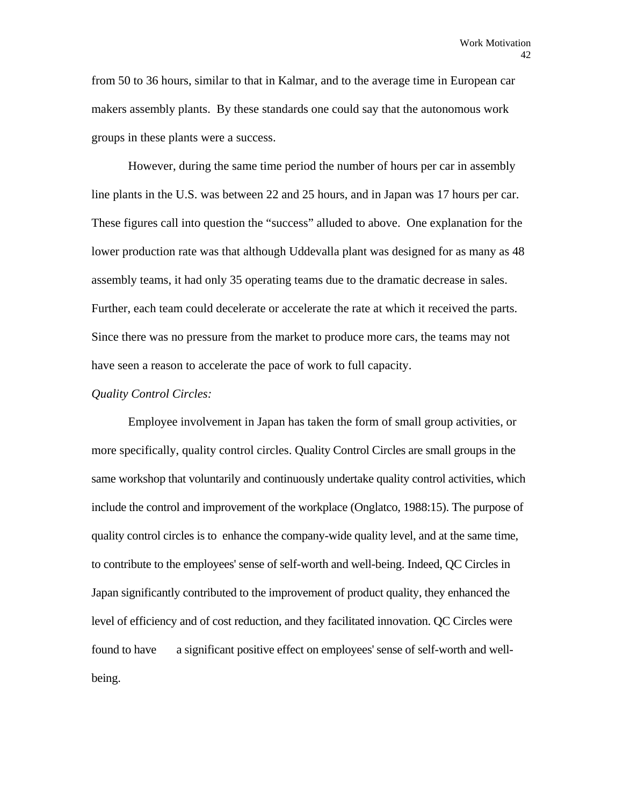from 50 to 36 hours, similar to that in Kalmar, and to the average time in European car makers assembly plants. By these standards one could say that the autonomous work groups in these plants were a success.

 However, during the same time period the number of hours per car in assembly line plants in the U.S. was between 22 and 25 hours, and in Japan was 17 hours per car. These figures call into question the "success" alluded to above. One explanation for the lower production rate was that although Uddevalla plant was designed for as many as 48 assembly teams, it had only 35 operating teams due to the dramatic decrease in sales. Further, each team could decelerate or accelerate the rate at which it received the parts. Since there was no pressure from the market to produce more cars, the teams may not have seen a reason to accelerate the pace of work to full capacity.

# *Quality Control Circles:*

 Employee involvement in Japan has taken the form of small group activities, or more specifically, quality control circles. Quality Control Circles are small groups in the same workshop that voluntarily and continuously undertake quality control activities, which include the control and improvement of the workplace (Onglatco, 1988:15). The purpose of quality control circles is to enhance the company-wide quality level, and at the same time, to contribute to the employees' sense of self-worth and well-being. Indeed, QC Circles in Japan significantly contributed to the improvement of product quality, they enhanced the level of efficiency and of cost reduction, and they facilitated innovation. QC Circles were found to have a significant positive effect on employees' sense of self-worth and wellbeing.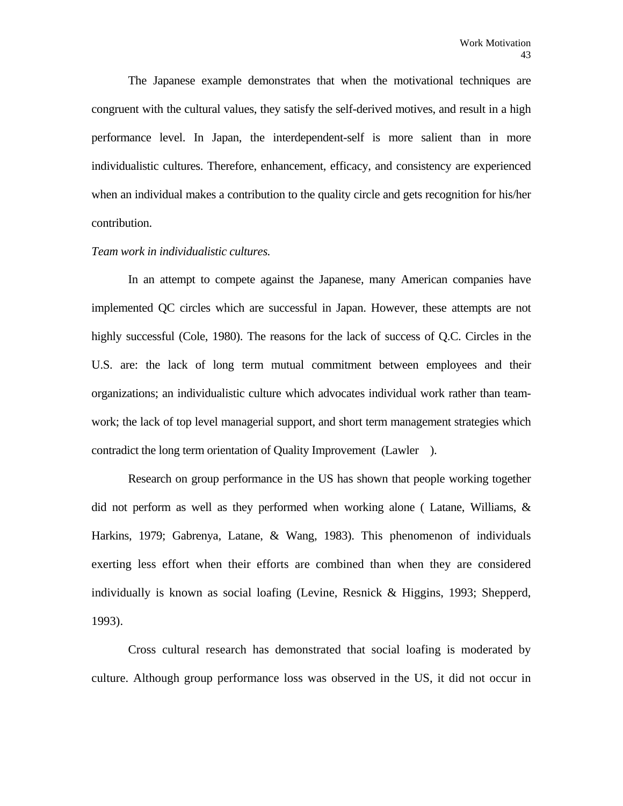The Japanese example demonstrates that when the motivational techniques are congruent with the cultural values, they satisfy the self-derived motives, and result in a high performance level. In Japan, the interdependent-self is more salient than in more individualistic cultures. Therefore, enhancement, efficacy, and consistency are experienced when an individual makes a contribution to the quality circle and gets recognition for his/her contribution.

#### *Team work in individualistic cultures.*

 In an attempt to compete against the Japanese, many American companies have implemented QC circles which are successful in Japan. However, these attempts are not highly successful (Cole, 1980). The reasons for the lack of success of Q.C. Circles in the U.S. are: the lack of long term mutual commitment between employees and their organizations; an individualistic culture which advocates individual work rather than teamwork; the lack of top level managerial support, and short term management strategies which contradict the long term orientation of Quality Improvement (Lawler ).

 Research on group performance in the US has shown that people working together did not perform as well as they performed when working alone ( Latane, Williams, & Harkins, 1979; Gabrenya, Latane, & Wang, 1983). This phenomenon of individuals exerting less effort when their efforts are combined than when they are considered individually is known as social loafing (Levine, Resnick & Higgins, 1993; Shepperd, 1993).

 Cross cultural research has demonstrated that social loafing is moderated by culture. Although group performance loss was observed in the US, it did not occur in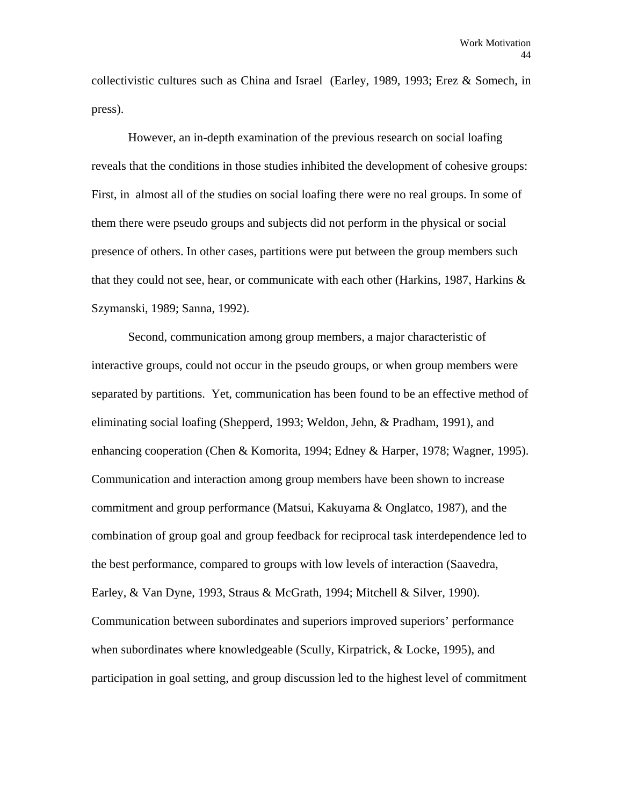collectivistic cultures such as China and Israel (Earley, 1989, 1993; Erez & Somech, in press).

 However, an in-depth examination of the previous research on social loafing reveals that the conditions in those studies inhibited the development of cohesive groups: First, in almost all of the studies on social loafing there were no real groups. In some of them there were pseudo groups and subjects did not perform in the physical or social presence of others. In other cases, partitions were put between the group members such that they could not see, hear, or communicate with each other (Harkins, 1987, Harkins & Szymanski, 1989; Sanna, 1992).

 Second, communication among group members, a major characteristic of interactive groups, could not occur in the pseudo groups, or when group members were separated by partitions. Yet, communication has been found to be an effective method of eliminating social loafing (Shepperd, 1993; Weldon, Jehn, & Pradham, 1991), and enhancing cooperation (Chen & Komorita, 1994; Edney & Harper, 1978; Wagner, 1995). Communication and interaction among group members have been shown to increase commitment and group performance (Matsui, Kakuyama & Onglatco, 1987), and the combination of group goal and group feedback for reciprocal task interdependence led to the best performance, compared to groups with low levels of interaction (Saavedra, Earley, & Van Dyne, 1993, Straus & McGrath, 1994; Mitchell & Silver, 1990). Communication between subordinates and superiors improved superiors' performance when subordinates where knowledgeable (Scully, Kirpatrick, & Locke, 1995), and participation in goal setting, and group discussion led to the highest level of commitment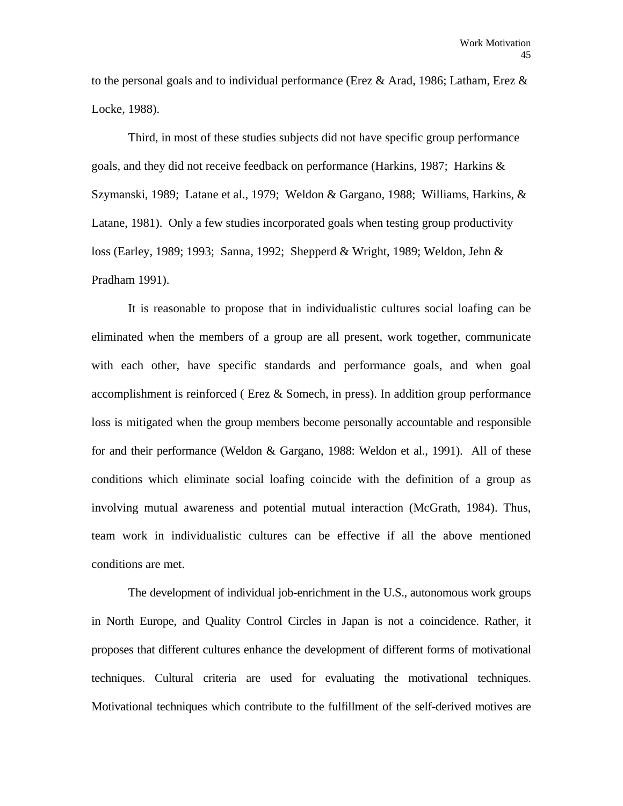to the personal goals and to individual performance (Erez & Arad, 1986; Latham, Erez & Locke, 1988).

 Third, in most of these studies subjects did not have specific group performance goals, and they did not receive feedback on performance (Harkins, 1987; Harkins & Szymanski, 1989; Latane et al., 1979; Weldon & Gargano, 1988; Williams, Harkins, & Latane, 1981). Only a few studies incorporated goals when testing group productivity loss (Earley, 1989; 1993; Sanna, 1992; Shepperd & Wright, 1989; Weldon, Jehn & Pradham 1991).

 It is reasonable to propose that in individualistic cultures social loafing can be eliminated when the members of a group are all present, work together, communicate with each other, have specific standards and performance goals, and when goal accomplishment is reinforced (Erez  $\&$  Somech, in press). In addition group performance loss is mitigated when the group members become personally accountable and responsible for and their performance (Weldon & Gargano, 1988: Weldon et al., 1991). All of these conditions which eliminate social loafing coincide with the definition of a group as involving mutual awareness and potential mutual interaction (McGrath, 1984). Thus, team work in individualistic cultures can be effective if all the above mentioned conditions are met.

 The development of individual job-enrichment in the U.S., autonomous work groups in North Europe, and Quality Control Circles in Japan is not a coincidence. Rather, it proposes that different cultures enhance the development of different forms of motivational techniques. Cultural criteria are used for evaluating the motivational techniques. Motivational techniques which contribute to the fulfillment of the self-derived motives are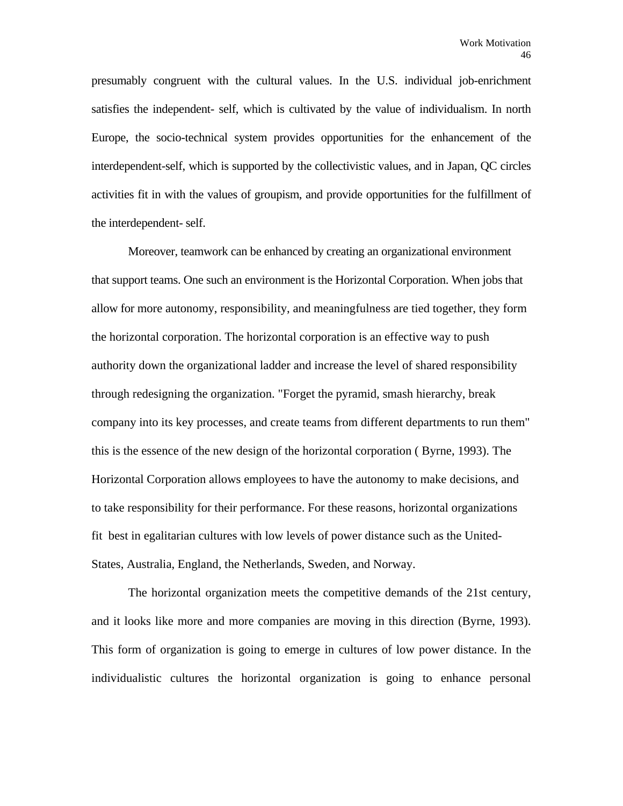presumably congruent with the cultural values. In the U.S. individual job-enrichment satisfies the independent- self, which is cultivated by the value of individualism. In north Europe, the socio-technical system provides opportunities for the enhancement of the interdependent-self, which is supported by the collectivistic values, and in Japan, QC circles activities fit in with the values of groupism, and provide opportunities for the fulfillment of the interdependent- self.

 Moreover, teamwork can be enhanced by creating an organizational environment that support teams. One such an environment is the Horizontal Corporation. When jobs that allow for more autonomy, responsibility, and meaningfulness are tied together, they form the horizontal corporation. The horizontal corporation is an effective way to push authority down the organizational ladder and increase the level of shared responsibility through redesigning the organization. "Forget the pyramid, smash hierarchy, break company into its key processes, and create teams from different departments to run them" this is the essence of the new design of the horizontal corporation ( Byrne, 1993). The Horizontal Corporation allows employees to have the autonomy to make decisions, and to take responsibility for their performance. For these reasons, horizontal organizations fit best in egalitarian cultures with low levels of power distance such as the United-States, Australia, England, the Netherlands, Sweden, and Norway.

 The horizontal organization meets the competitive demands of the 21st century, and it looks like more and more companies are moving in this direction (Byrne, 1993). This form of organization is going to emerge in cultures of low power distance. In the individualistic cultures the horizontal organization is going to enhance personal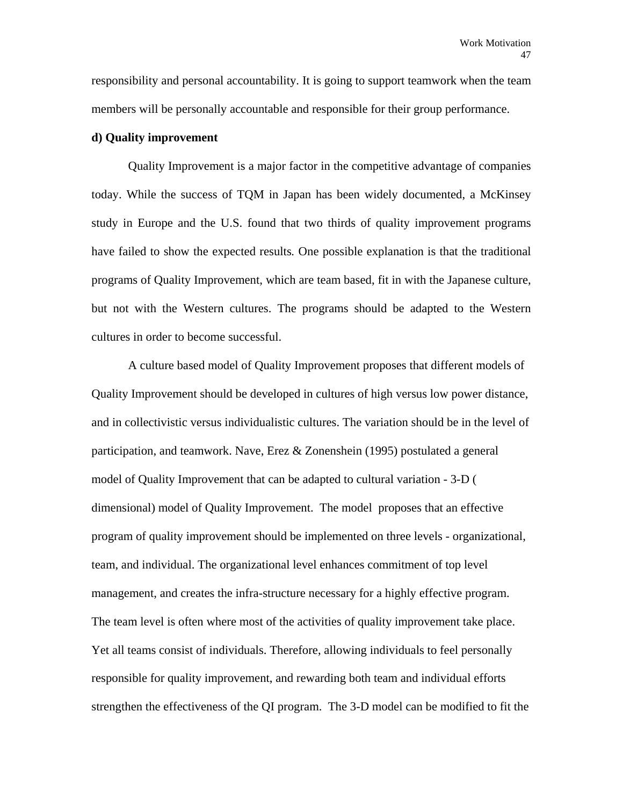responsibility and personal accountability. It is going to support teamwork when the team members will be personally accountable and responsible for their group performance.

# **d) Quality improvement**

 Quality Improvement is a major factor in the competitive advantage of companies today. While the success of TQM in Japan has been widely documented, a McKinsey study in Europe and the U.S. found that two thirds of quality improvement programs have failed to show the expected results*.* One possible explanation is that the traditional programs of Quality Improvement, which are team based, fit in with the Japanese culture, but not with the Western cultures. The programs should be adapted to the Western cultures in order to become successful.

 A culture based model of Quality Improvement proposes that different models of Quality Improvement should be developed in cultures of high versus low power distance, and in collectivistic versus individualistic cultures. The variation should be in the level of participation, and teamwork. Nave, Erez & Zonenshein (1995) postulated a general model of Quality Improvement that can be adapted to cultural variation - 3-D ( dimensional) model of Quality Improvement. The model proposes that an effective program of quality improvement should be implemented on three levels - organizational, team, and individual. The organizational level enhances commitment of top level management, and creates the infra-structure necessary for a highly effective program. The team level is often where most of the activities of quality improvement take place. Yet all teams consist of individuals. Therefore, allowing individuals to feel personally responsible for quality improvement, and rewarding both team and individual efforts strengthen the effectiveness of the QI program. The 3-D model can be modified to fit the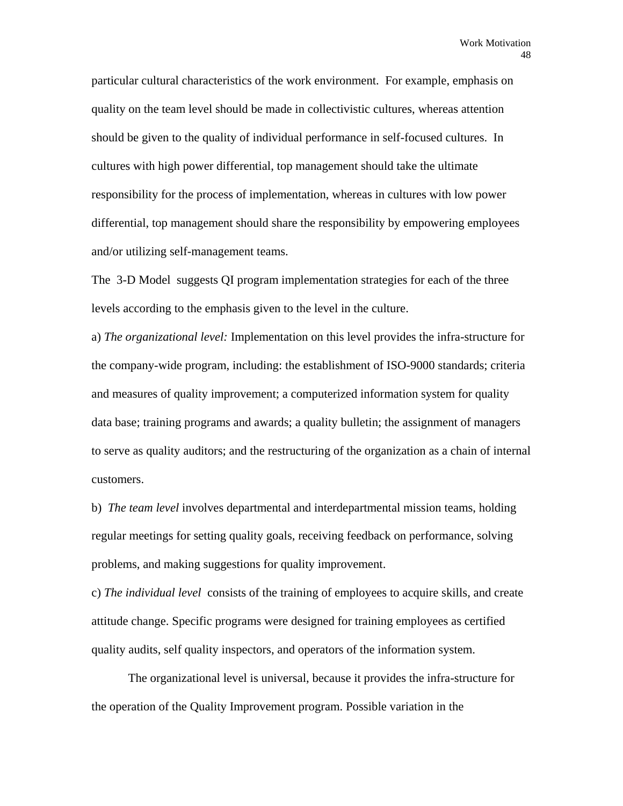particular cultural characteristics of the work environment. For example, emphasis on quality on the team level should be made in collectivistic cultures, whereas attention should be given to the quality of individual performance in self-focused cultures. In cultures with high power differential, top management should take the ultimate responsibility for the process of implementation, whereas in cultures with low power differential, top management should share the responsibility by empowering employees and/or utilizing self-management teams.

 The 3-D Model suggests QI program implementation strategies for each of the three levels according to the emphasis given to the level in the culture.

a) *The organizational level:* Implementation on this level provides the infra-structure for the company-wide program, including: the establishment of ISO-9000 standards; criteria and measures of quality improvement; a computerized information system for quality data base; training programs and awards; a quality bulletin; the assignment of managers to serve as quality auditors; and the restructuring of the organization as a chain of internal customers.

b) *The team level* involves departmental and interdepartmental mission teams, holding regular meetings for setting quality goals, receiving feedback on performance, solving problems, and making suggestions for quality improvement.

c) *The individual level* consists of the training of employees to acquire skills, and create attitude change. Specific programs were designed for training employees as certified quality audits, self quality inspectors, and operators of the information system.

 The organizational level is universal, because it provides the infra-structure for the operation of the Quality Improvement program. Possible variation in the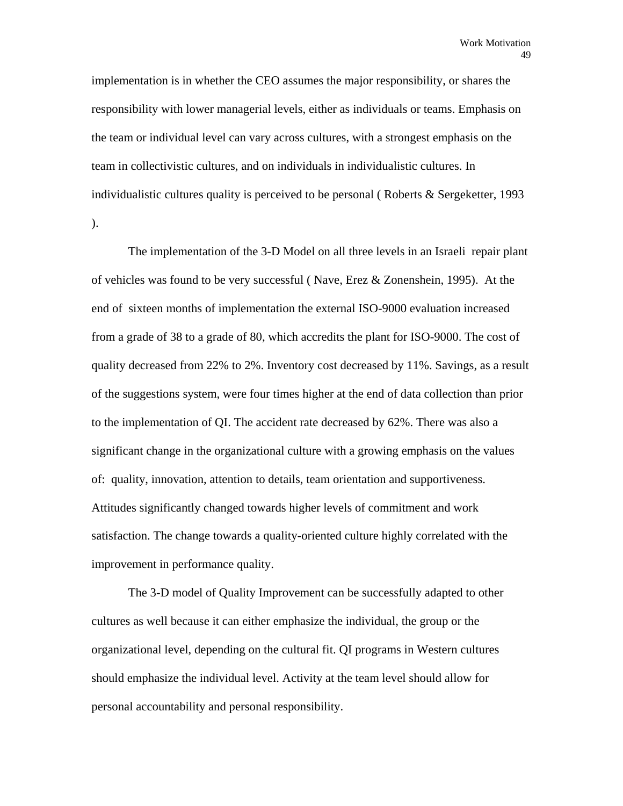implementation is in whether the CEO assumes the major responsibility, or shares the responsibility with lower managerial levels, either as individuals or teams. Emphasis on the team or individual level can vary across cultures, with a strongest emphasis on the team in collectivistic cultures, and on individuals in individualistic cultures. In individualistic cultures quality is perceived to be personal (Roberts  $&$  Sergeketter, 1993 ).

 The implementation of the 3-D Model on all three levels in an Israeli repair plant of vehicles was found to be very successful ( Nave, Erez & Zonenshein, 1995). At the end of sixteen months of implementation the external ISO-9000 evaluation increased from a grade of 38 to a grade of 80, which accredits the plant for ISO-9000. The cost of quality decreased from 22% to 2%. Inventory cost decreased by 11%. Savings, as a result of the suggestions system, were four times higher at the end of data collection than prior to the implementation of QI. The accident rate decreased by 62%. There was also a significant change in the organizational culture with a growing emphasis on the values of: quality, innovation, attention to details, team orientation and supportiveness. Attitudes significantly changed towards higher levels of commitment and work satisfaction. The change towards a quality-oriented culture highly correlated with the improvement in performance quality.

 The 3-D model of Quality Improvement can be successfully adapted to other cultures as well because it can either emphasize the individual, the group or the organizational level, depending on the cultural fit. QI programs in Western cultures should emphasize the individual level. Activity at the team level should allow for personal accountability and personal responsibility.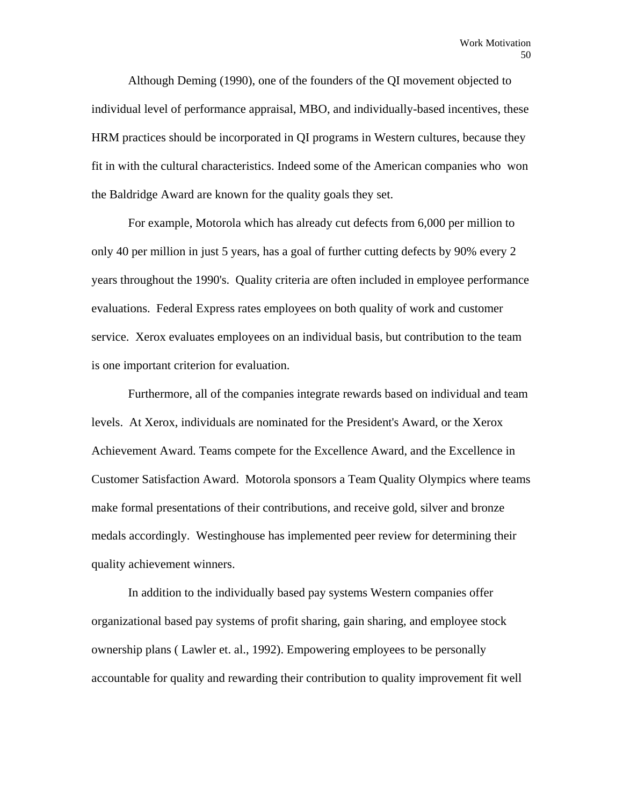Although Deming (1990), one of the founders of the QI movement objected to individual level of performance appraisal, MBO, and individually-based incentives, these HRM practices should be incorporated in QI programs in Western cultures, because they fit in with the cultural characteristics. Indeed some of the American companies who won the Baldridge Award are known for the quality goals they set.

 For example, Motorola which has already cut defects from 6,000 per million to only 40 per million in just 5 years, has a goal of further cutting defects by 90% every 2 years throughout the 1990's. Quality criteria are often included in employee performance evaluations. Federal Express rates employees on both quality of work and customer service. Xerox evaluates employees on an individual basis, but contribution to the team is one important criterion for evaluation.

 Furthermore, all of the companies integrate rewards based on individual and team levels. At Xerox, individuals are nominated for the President's Award, or the Xerox Achievement Award. Teams compete for the Excellence Award, and the Excellence in Customer Satisfaction Award. Motorola sponsors a Team Quality Olympics where teams make formal presentations of their contributions, and receive gold, silver and bronze medals accordingly. Westinghouse has implemented peer review for determining their quality achievement winners.

 In addition to the individually based pay systems Western companies offer organizational based pay systems of profit sharing, gain sharing, and employee stock ownership plans ( Lawler et. al., 1992). Empowering employees to be personally accountable for quality and rewarding their contribution to quality improvement fit well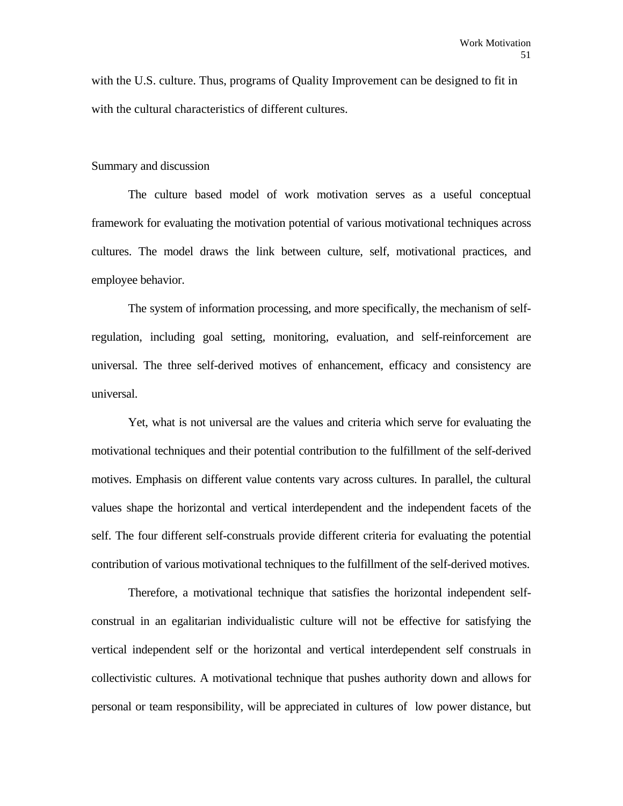with the U.S. culture. Thus, programs of Quality Improvement can be designed to fit in with the cultural characteristics of different cultures.

#### Summary and discussion

 The culture based model of work motivation serves as a useful conceptual framework for evaluating the motivation potential of various motivational techniques across cultures. The model draws the link between culture, self, motivational practices, and employee behavior.

 The system of information processing, and more specifically, the mechanism of selfregulation, including goal setting, monitoring, evaluation, and self-reinforcement are universal. The three self-derived motives of enhancement, efficacy and consistency are universal.

 Yet, what is not universal are the values and criteria which serve for evaluating the motivational techniques and their potential contribution to the fulfillment of the self-derived motives. Emphasis on different value contents vary across cultures. In parallel, the cultural values shape the horizontal and vertical interdependent and the independent facets of the self. The four different self-construals provide different criteria for evaluating the potential contribution of various motivational techniques to the fulfillment of the self-derived motives.

 Therefore, a motivational technique that satisfies the horizontal independent selfconstrual in an egalitarian individualistic culture will not be effective for satisfying the vertical independent self or the horizontal and vertical interdependent self construals in collectivistic cultures. A motivational technique that pushes authority down and allows for personal or team responsibility, will be appreciated in cultures of low power distance, but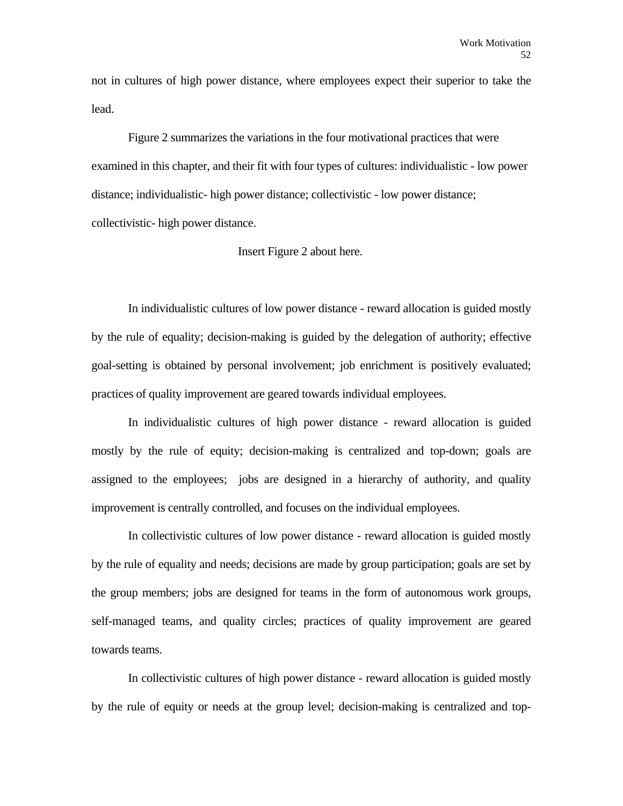not in cultures of high power distance, where employees expect their superior to take the lead.

 Figure 2 summarizes the variations in the four motivational practices that were examined in this chapter, and their fit with four types of cultures: individualistic - low power distance; individualistic- high power distance; collectivistic - low power distance; collectivistic- high power distance.

# Insert Figure 2 about here.

 In individualistic cultures of low power distance - reward allocation is guided mostly by the rule of equality; decision-making is guided by the delegation of authority; effective goal-setting is obtained by personal involvement; job enrichment is positively evaluated; practices of quality improvement are geared towards individual employees.

 In individualistic cultures of high power distance - reward allocation is guided mostly by the rule of equity; decision-making is centralized and top-down; goals are assigned to the employees; jobs are designed in a hierarchy of authority, and quality improvement is centrally controlled, and focuses on the individual employees.

 In collectivistic cultures of low power distance - reward allocation is guided mostly by the rule of equality and needs; decisions are made by group participation; goals are set by the group members; jobs are designed for teams in the form of autonomous work groups, self-managed teams, and quality circles; practices of quality improvement are geared towards teams.

 In collectivistic cultures of high power distance - reward allocation is guided mostly by the rule of equity or needs at the group level; decision-making is centralized and top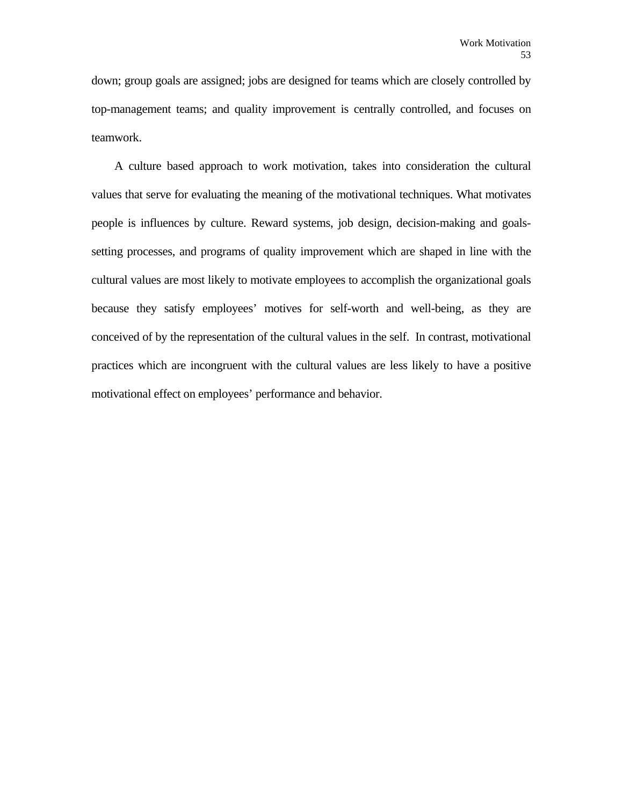down; group goals are assigned; jobs are designed for teams which are closely controlled by top-management teams; and quality improvement is centrally controlled, and focuses on teamwork.

 A culture based approach to work motivation, takes into consideration the cultural values that serve for evaluating the meaning of the motivational techniques. What motivates people is influences by culture. Reward systems, job design, decision-making and goalssetting processes, and programs of quality improvement which are shaped in line with the cultural values are most likely to motivate employees to accomplish the organizational goals because they satisfy employees' motives for self-worth and well-being, as they are conceived of by the representation of the cultural values in the self. In contrast, motivational practices which are incongruent with the cultural values are less likely to have a positive motivational effect on employees' performance and behavior.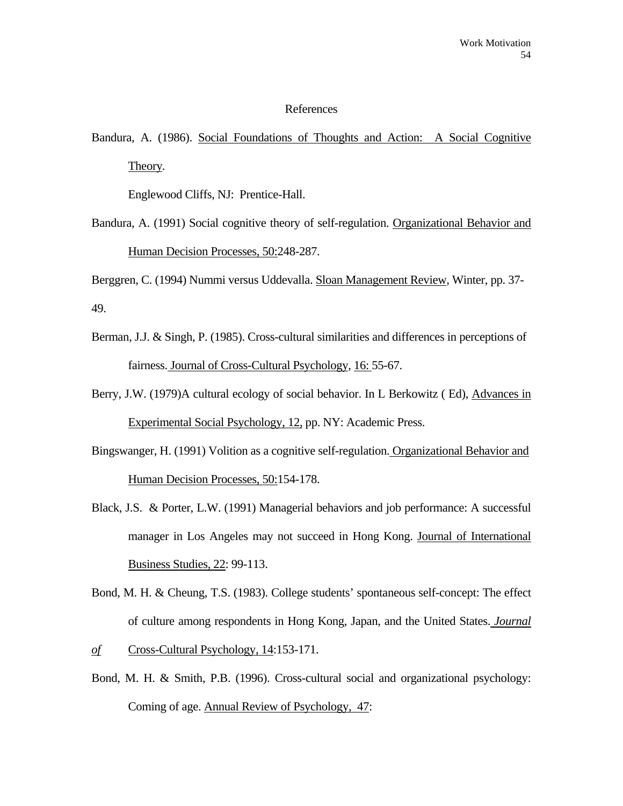#### References

Bandura, A. (1986). Social Foundations of Thoughts and Action: A Social Cognitive Theory*.*

Englewood Cliffs, NJ: Prentice-Hall.

Bandura, A. (1991) Social cognitive theory of self-regulation. Organizational Behavior and Human Decision Processes, 50:248-287.

Berggren, C. (1994) Nummi versus Uddevalla. Sloan Management Review*,* Winter, pp. 37- 49.

- Berman, J.J. & Singh, P. (1985). Cross-cultural similarities and differences in perceptions of fairness. Journal of Cross-Cultural Psychology, 16: 55-67.
- Berry, J.W. (1979)A cultural ecology of social behavior. In L Berkowitz ( Ed), Advances in Experimental Social Psychology, 12, pp. NY: Academic Press.
- Bingswanger, H. (1991) Volition as a cognitive self-regulation. Organizational Behavior and Human Decision Processes, 50:154-178.
- Black, J.S. & Porter, L.W. (1991) Managerial behaviors and job performance: A successful manager in Los Angeles may not succeed in Hong Kong. Journal of International Business Studies, 22: 99-113.
- Bond, M. H. & Cheung, T.S. (1983). College students' spontaneous self-concept: The effect of culture among respondents in Hong Kong, Japan, and the United States. *Journal*
- *of* Cross-Cultural Psychology, 14:153-171.
- Bond, M. H. & Smith, P.B. (1996). Cross-cultural social and organizational psychology: Coming of age. Annual Review of Psychology, 47: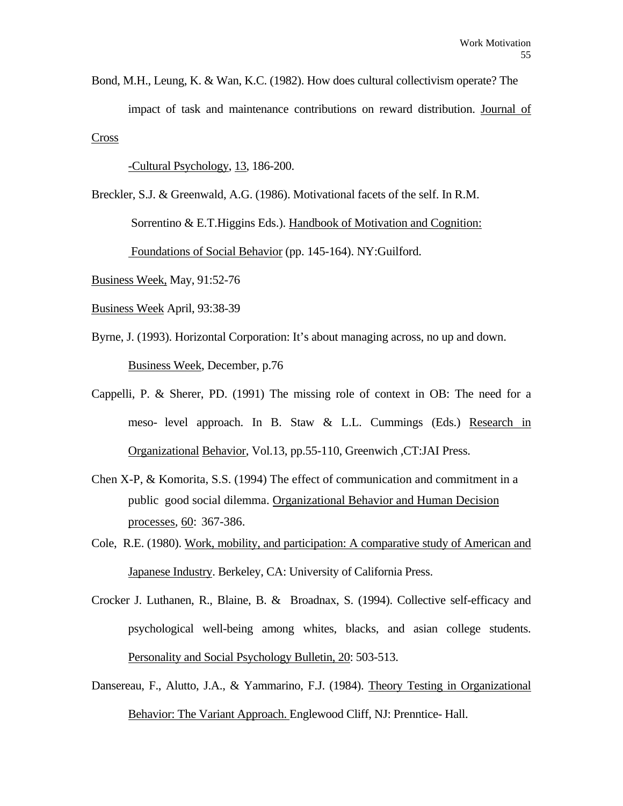Bond, M.H., Leung, K. & Wan, K.C. (1982). How does cultural collectivism operate? The impact of task and maintenance contributions on reward distribution. Journal of Cross

-Cultural Psychology, 13, 186-200.

Breckler, S.J. & Greenwald, A.G. (1986). Motivational facets of the self. In R.M. Sorrentino & E.T. Higgins Eds.). Handbook of Motivation and Cognition: Foundations of Social Behavior (pp. 145-164). NY:Guilford.

Business Week, May, 91:52-76

- Business Week April, 93:38-39
- Byrne, J. (1993). Horizontal Corporation: It's about managing across, no up and down. Business Week, December, p.76
- Cappelli, P. & Sherer, PD. (1991) The missing role of context in OB: The need for a meso- level approach. In B. Staw & L.L. Cummings (Eds.) Research in Organizational Behavior, Vol.13, pp.55-110, Greenwich ,CT:JAI Press.
- Chen X-P, & Komorita, S.S. (1994) The effect of communication and commitment in a public good social dilemma. Organizational Behavior and Human Decision processes*,* 60:367-386.
- Cole, R.E. (1980). Work, mobility, and participation: A comparative study of American and Japanese Industry. Berkeley, CA: University of California Press.
- Crocker J. Luthanen, R., Blaine, B. & Broadnax, S. (1994). Collective self-efficacy and psychological well-being among whites, blacks, and asian college students. Personality and Social Psychology Bulletin, 20: 503-513.
- Dansereau, F., Alutto, J.A., & Yammarino, F.J. (1984). Theory Testing in Organizational Behavior: The Variant Approach. Englewood Cliff, NJ: Prenntice- Hall.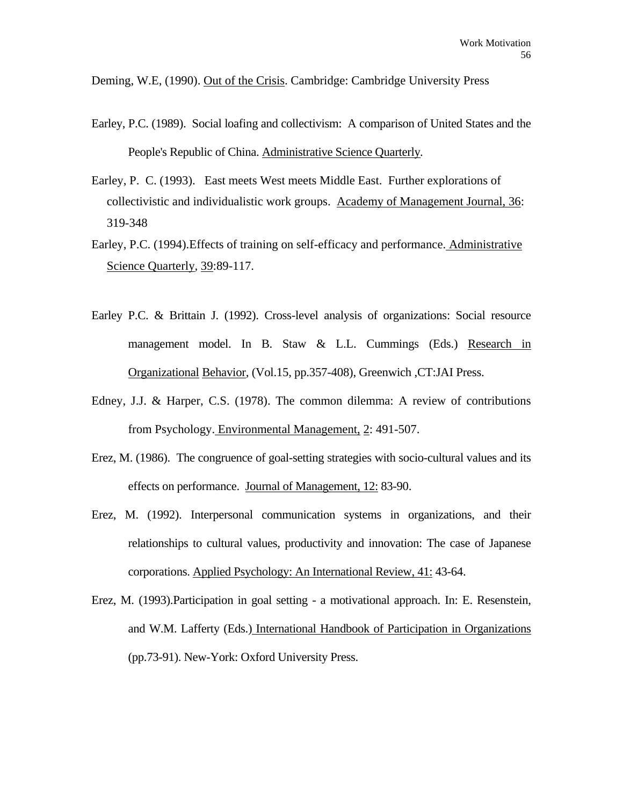Deming, W.E, (1990). Out of the Crisis. Cambridge: Cambridge University Press

- Earley, P.C. (1989). Social loafing and collectivism: A comparison of United States and the People's Republic of China. Administrative Science Quarterly*.*
- Earley, P. C. (1993). East meets West meets Middle East. Further explorations of collectivistic and individualistic work groups. Academy of Management Journal, 36: 319-348
- Earley, P.C. (1994).Effects of training on self-efficacy and performance. Administrative Science Quarterly*,* 39:89-117.
- Earley P.C. & Brittain J. (1992). Cross-level analysis of organizations: Social resource management model. In B. Staw & L.L. Cummings (Eds.) Research in Organizational Behavior, (Vol.15, pp.357-408), Greenwich ,CT:JAI Press.
- Edney, J.J. & Harper, C.S. (1978). The common dilemma: A review of contributions from Psychology. Environmental Management, 2: 491-507.
- Erez, M. (1986). The congruence of goal-setting strategies with socio-cultural values and its effects on performance. Journal of Management, 12: 83-90.
- Erez, M. (1992). Interpersonal communication systems in organizations, and their relationships to cultural values, productivity and innovation: The case of Japanese corporations. Applied Psychology: An International Review, 41: 43-64.
- Erez, M. (1993).Participation in goal setting a motivational approach. In: E. Resenstein, and W.M. Lafferty (Eds.) International Handbook of Participation in Organizations (pp.73-91). New-York: Oxford University Press.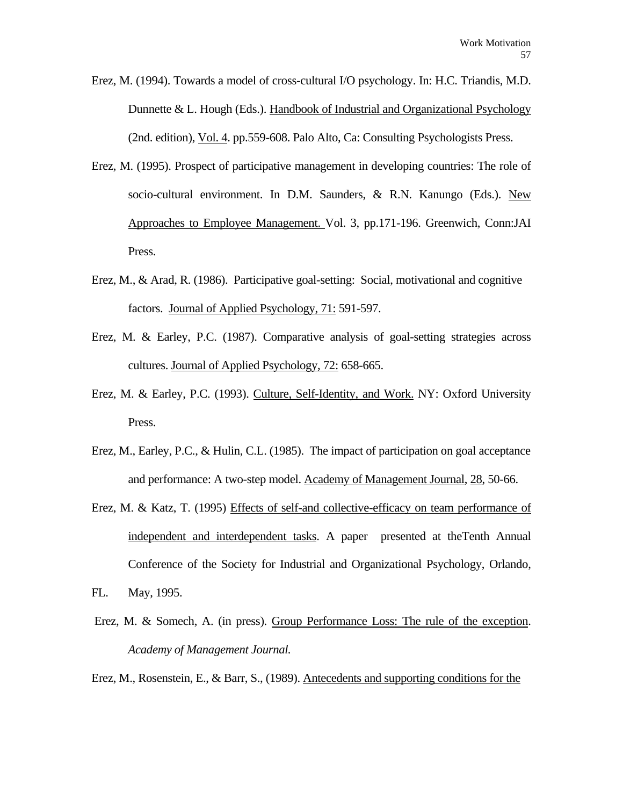- Erez, M. (1994). Towards a model of cross-cultural I/O psychology. In: H.C. Triandis, M.D. Dunnette & L. Hough (Eds.). Handbook of Industrial and Organizational Psychology (2nd. edition), Vol. 4. pp.559-608. Palo Alto, Ca: Consulting Psychologists Press.
- Erez, M. (1995). Prospect of participative management in developing countries: The role of socio-cultural environment. In D.M. Saunders, & R.N. Kanungo (Eds.). New Approaches to Employee Management. Vol. 3, pp.171-196. Greenwich, Conn:JAI Press.
- Erez, M., & Arad, R. (1986). Participative goal-setting: Social, motivational and cognitive factors. Journal of Applied Psychology, 71: 591-597.
- Erez, M. & Earley, P.C. (1987). Comparative analysis of goal-setting strategies across cultures. Journal of Applied Psychology, 72: 658-665.
- Erez, M. & Earley, P.C. (1993). Culture, Self-Identity, and Work. NY: Oxford University Press.
- Erez, M., Earley, P.C., & Hulin, C.L. (1985). The impact of participation on goal acceptance and performance: A two-step model. Academy of Management Journal, 28, 50-66.
- Erez, M. & Katz, T. (1995) Effects of self-and collective-efficacy on team performance of independent and interdependent tasks. A paper presented at theTenth Annual Conference of the Society for Industrial and Organizational Psychology, Orlando,
- FL. May, 1995.
- Erez, M. & Somech, A. (in press). Group Performance Loss: The rule of the exception. *Academy of Management Journal.*

Erez, M., Rosenstein, E., & Barr, S., (1989). Antecedents and supporting conditions for the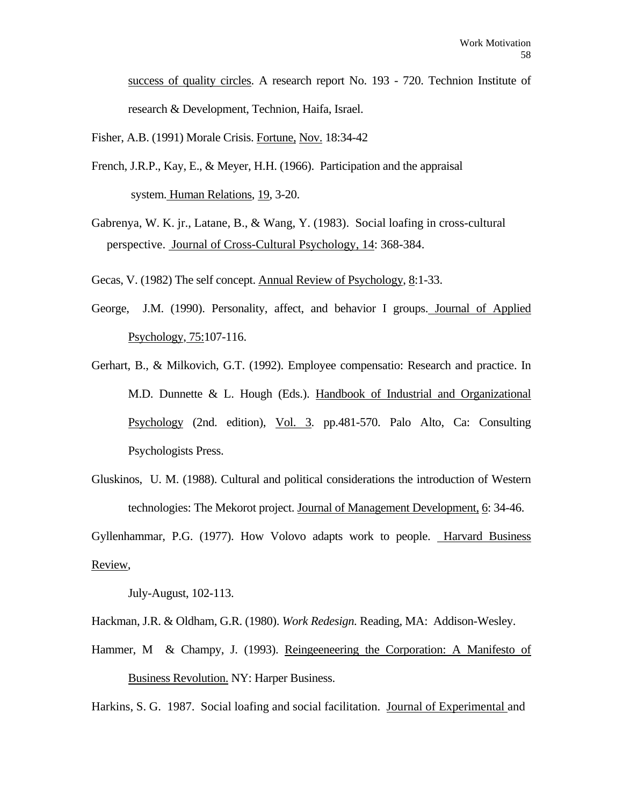success of quality circles. A research report No. 193 - 720. Technion Institute of research & Development, Technion, Haifa, Israel.

Fisher, A.B. (1991) Morale Crisis. Fortune, Nov. 18:34-42

- French, J.R.P., Kay, E., & Meyer, H.H. (1966). Participation and the appraisal system. Human Relations, 19, 3-20.
- Gabrenya, W. K. jr., Latane, B., & Wang, Y. (1983). Social loafing in cross-cultural perspective. Journal of Cross-Cultural Psychology, 14: 368-384.
- Gecas, V. (1982) The self concept. Annual Review of Psychology, 8:1-33.
- George, J.M. (1990). Personality, affect, and behavior I groups. Journal of Applied Psychology, 75:107-116.
- Gerhart, B., & Milkovich, G.T. (1992). Employee compensatio: Research and practice. In M.D. Dunnette & L. Hough (Eds.). Handbook of Industrial and Organizational Psychology (2nd. edition), Vol. 3. pp.481-570. Palo Alto, Ca: Consulting Psychologists Press.
- Gluskinos, U. M. (1988). Cultural and political considerations the introduction of Western technologies: The Mekorot project. Journal of Management Development, 6: 34-46.

Gyllenhammar, P.G. (1977). How Volovo adapts work to people. Harvard Business Review,

July-August, 102-113.

Hackman, J.R. & Oldham, G.R. (1980). *Work Redesign.* Reading, MA: Addison-Wesley.

Hammer, M & Champy, J. (1993). Reingeeneering the Corporation: A Manifesto of Business Revolution. NY: Harper Business.

Harkins, S. G. 1987. Social loafing and social facilitation. Journal of Experimental and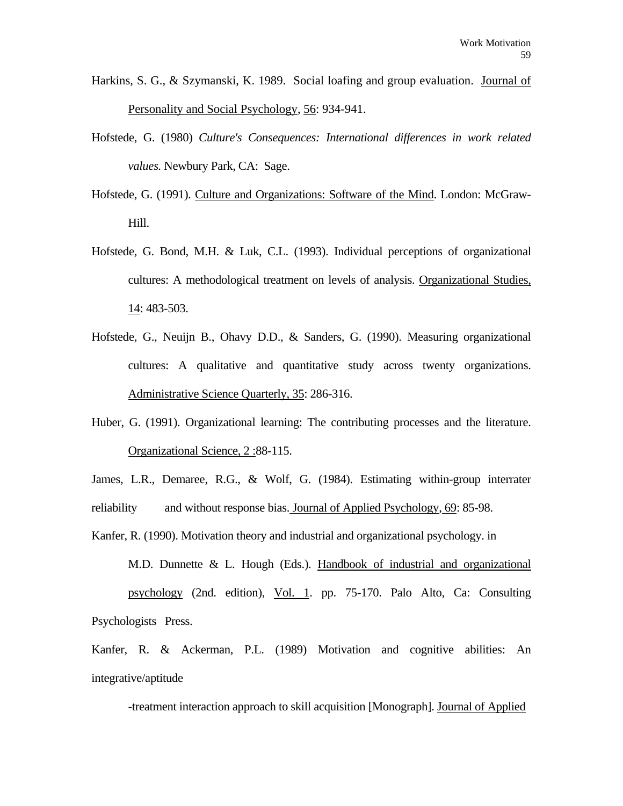- Harkins, S. G., & Szymanski, K. 1989. Social loafing and group evaluation. Journal of Personality and Social Psychology, 56: 934-941.
- Hofstede, G. (1980) *Culture's Consequences: International differences in work related values.* Newbury Park, CA: Sage.
- Hofstede, G. (1991). Culture and Organizations: Software of the Mind. London: McGraw-Hill.
- Hofstede, G. Bond, M.H. & Luk, C.L. (1993). Individual perceptions of organizational cultures: A methodological treatment on levels of analysis. Organizational Studies, 14: 483-503.
- Hofstede, G., Neuijn B., Ohavy D.D., & Sanders, G. (1990). Measuring organizational cultures: A qualitative and quantitative study across twenty organizations. Administrative Science Quarterly, 35: 286-316.
- Huber, G. (1991). Organizational learning: The contributing processes and the literature. Organizational Science, 2 :88-115.
- James, L.R., Demaree, R.G., & Wolf, G. (1984). Estimating within-group interrater reliability and without response bias. Journal of Applied Psychology, 69: 85-98.
- Kanfer, R. (1990). Motivation theory and industrial and organizational psychology. in M.D. Dunnette & L. Hough (Eds.). Handbook of industrial and organizational psychology (2nd. edition), Vol. 1. pp. 75-170. Palo Alto, Ca: Consulting Psychologists Press.

Kanfer, R. & Ackerman, P.L. (1989) Motivation and cognitive abilities: An integrative/aptitude

-treatment interaction approach to skill acquisition [Monograph]. Journal of Applied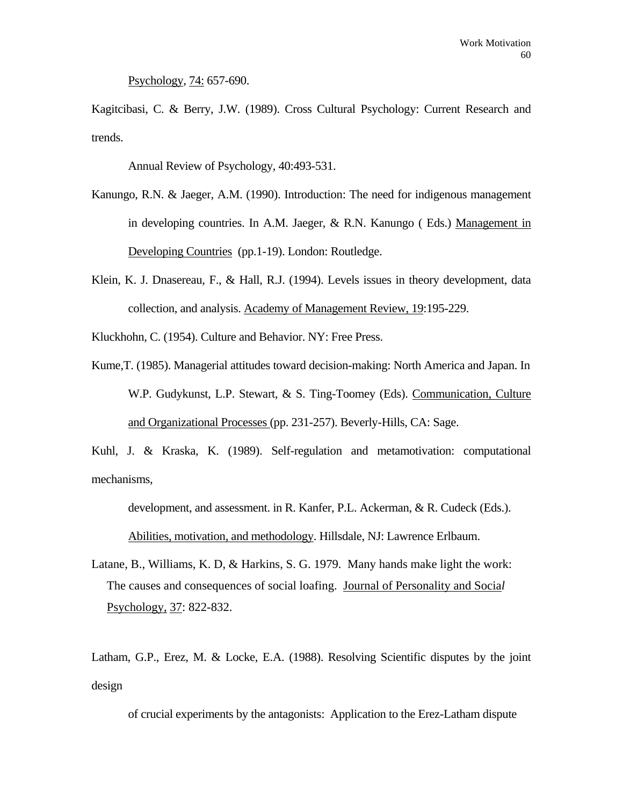Psychology, 74: 657-690.

Kagitcibasi, C. & Berry, J.W. (1989). Cross Cultural Psychology: Current Research and trends.

Annual Review of Psychology, 40:493-531.

- Kanungo, R.N. & Jaeger, A.M. (1990). Introduction: The need for indigenous management in developing countries. In A.M. Jaeger, & R.N. Kanungo ( Eds.) Management in Developing Countries (pp.1-19). London: Routledge.
- Klein, K. J. Dnasereau, F., & Hall, R.J. (1994). Levels issues in theory development, data collection, and analysis. Academy of Management Review, 19:195-229.
- Kluckhohn, C. (1954). Culture and Behavior. NY: Free Press.
- Kume,T. (1985). Managerial attitudes toward decision-making: North America and Japan. In W.P. Gudykunst, L.P. Stewart, & S. Ting-Toomey (Eds). Communication, Culture and Organizational Processes (pp. 231-257). Beverly-Hills, CA: Sage.

Kuhl, J. & Kraska, K. (1989). Self-regulation and metamotivation: computational mechanisms,

development, and assessment. in R. Kanfer, P.L. Ackerman, & R. Cudeck (Eds.).

Abilities, motivation, and methodology. Hillsdale, NJ: Lawrence Erlbaum.

Latane, B., Williams, K. D, & Harkins, S. G. 1979. Many hands make light the work: The causes and consequences of social loafing. Journal of Personality and Socia*l*  Psychology, 37: 822-832.

Latham, G.P., Erez, M. & Locke, E.A. (1988). Resolving Scientific disputes by the joint design

of crucial experiments by the antagonists: Application to the Erez-Latham dispute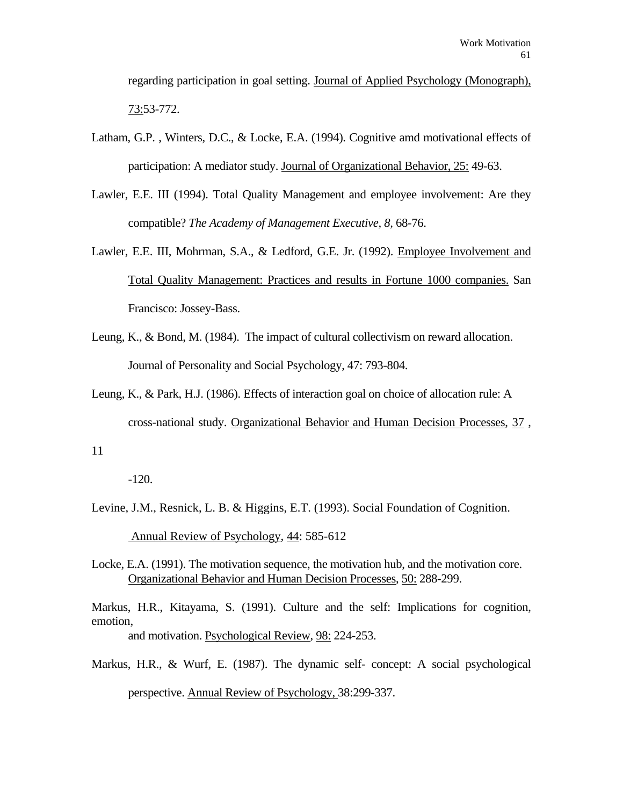regarding participation in goal setting. Journal of Applied Psychology (Monograph), 73:53-772.

- Latham, G.P. , Winters, D.C., & Locke, E.A. (1994). Cognitive amd motivational effects of participation: A mediator study. Journal of Organizational Behavior, 25: 49-63.
- Lawler, E.E. III (1994). Total Quality Management and employee involvement: Are they compatible? *The Academy of Management Executive, 8,* 68-76.
- Lawler, E.E. III, Mohrman, S.A., & Ledford, G.E. Jr. (1992). Employee Involvement and Total Quality Management: Practices and results in Fortune 1000 companies. San Francisco: Jossey-Bass.
- Leung, K., & Bond, M. (1984). The impact of cultural collectivism on reward allocation. Journal of Personality and Social Psychology, 47: 793-804.
- Leung, K., & Park, H.J. (1986). Effects of interaction goal on choice of allocation rule: A cross-national study. Organizational Behavior and Human Decision Processes, 37 ,

11

-120.

- Levine, J.M., Resnick, L. B. & Higgins, E.T. (1993). Social Foundation of Cognition. Annual Review of Psychology*,* 44: 585-612
- Locke, E.A. (1991). The motivation sequence, the motivation hub, and the motivation core. Organizational Behavior and Human Decision Processes, 50: 288-299.

Markus, H.R., Kitayama, S. (1991). Culture and the self: Implications for cognition, emotion, and motivation. Psychological Review, 98: 224-253.

Markus, H.R., & Wurf, E. (1987). The dynamic self- concept: A social psychological

perspective. Annual Review of Psychology, 38:299-337.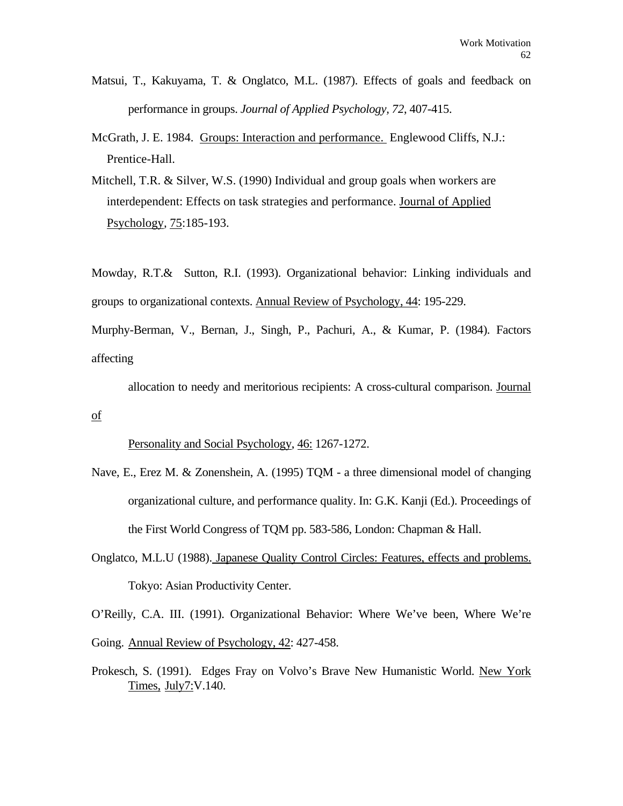- Matsui, T., Kakuyama, T. & Onglatco, M.L. (1987). Effects of goals and feedback on performance in groups. *Journal of Applied Psychology, 72*, 407-415.
- McGrath, J. E. 1984. Groups: Interaction and performance. Englewood Cliffs, N.J.: Prentice-Hall.
- Mitchell, T.R. & Silver, W.S. (1990) Individual and group goals when workers are interdependent: Effects on task strategies and performance. Journal of Applied Psychology*,* 75:185-193.

Mowday, R.T.& Sutton, R.I. (1993). Organizational behavior: Linking individuals and groups to organizational contexts. Annual Review of Psychology, 44: 195-229.

Murphy-Berman, V., Bernan, J., Singh, P., Pachuri, A., & Kumar, P. (1984). Factors affecting

 allocation to needy and meritorious recipients: A cross-cultural comparison. Journal of

Personality and Social Psychology, 46: 1267-1272.

- Nave, E., Erez M. & Zonenshein, A. (1995) TQM a three dimensional model of changing organizational culture, and performance quality. In: G.K. Kanji (Ed.). Proceedings of the First World Congress of TQM pp. 583-586, London: Chapman & Hall.
- Onglatco, M.L.U (1988). Japanese Quality Control Circles: Features, effects and problems. Tokyo: Asian Productivity Center.

O'Reilly, C.A. III. (1991). Organizational Behavior: Where We've been, Where We're Going. Annual Review of Psychology, 42: 427-458.

Prokesch, S. (1991). Edges Fray on Volvo's Brave New Humanistic World. New York Times, July7:V.140.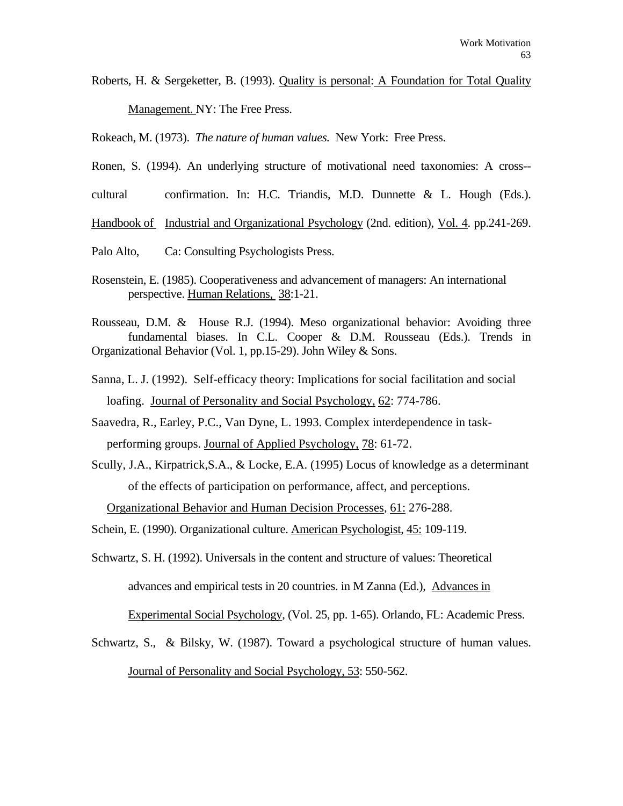Roberts, H. & Sergeketter, B. (1993). Quality is personal: A Foundation for Total Quality Management. NY: The Free Press.

Rokeach, M. (1973). *The nature of human values.* New York: Free Press.

- Ronen, S. (1994). An underlying structure of motivational need taxonomies: A cross--
- cultural confirmation. In: H.C. Triandis, M.D. Dunnette & L. Hough (Eds.).

Handbook of Industrial and Organizational Psychology (2nd. edition), Vol. 4. pp.241-269.

- Palo Alto, Ca: Consulting Psychologists Press.
- Rosenstein, E. (1985). Cooperativeness and advancement of managers: An international perspective. Human Relations, 38:1-21.
- Rousseau, D.M. & House R.J. (1994). Meso organizational behavior: Avoiding three fundamental biases. In C.L. Cooper & D.M. Rousseau (Eds.). Trends in Organizational Behavior (Vol. 1, pp.15-29). John Wiley & Sons.
- Sanna, L. J. (1992). Self-efficacy theory: Implications for social facilitation and social loafing. Journal of Personality and Social Psychology, 62: 774-786.
- Saavedra, R., Earley, P.C., Van Dyne, L. 1993. Complex interdependence in taskperforming groups. Journal of Applied Psychology, 78: 61-72.
- Scully, J.A., Kirpatrick,S.A., & Locke, E.A. (1995) Locus of knowledge as a determinant of the effects of participation on performance, affect, and perceptions.

Organizational Behavior and Human Decision Processes*,* 61: 276-288.

Schein, E. (1990). Organizational culture. American Psychologist, 45: 109-119.

Schwartz, S. H. (1992). Universals in the content and structure of values: Theoretical advances and empirical tests in 20 countries. in M Zanna (Ed.), Advances in

Experimental Social Psychology, (Vol. 25, pp. 1-65). Orlando, FL: Academic Press.

Schwartz, S., & Bilsky, W. (1987). Toward a psychological structure of human values. Journal of Personality and Social Psychology, 53: 550-562.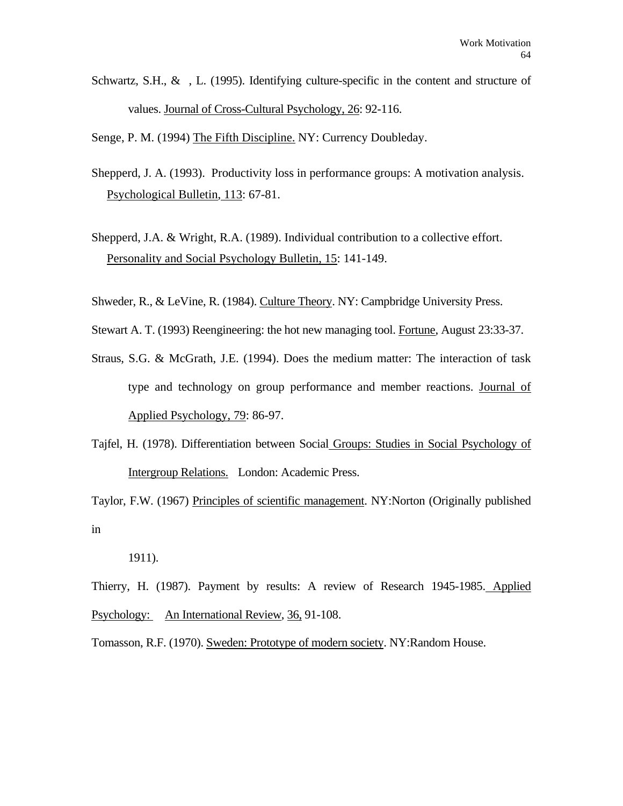Schwartz, S.H.,  $\&$ , L. (1995). Identifying culture-specific in the content and structure of values. Journal of Cross-Cultural Psychology, 26: 92-116.

Senge, P. M. (1994) The Fifth Discipline. NY: Currency Doubleday.

- Shepperd, J. A. (1993). Productivity loss in performance groups: A motivation analysis. Psychological Bulletin, 113: 67-81.
- Shepperd, J.A. & Wright, R.A. (1989). Individual contribution to a collective effort. Personality and Social Psychology Bulletin, 15: 141-149.
- Shweder, R., & LeVine, R. (1984). Culture Theory. NY: Campbridge University Press.

Stewart A. T. (1993) Reengineering: the hot new managing tool. Fortune, August 23:33-37.

- Straus, S.G. & McGrath, J.E. (1994). Does the medium matter: The interaction of task type and technology on group performance and member reactions. Journal of Applied Psychology, 79: 86-97.
- Tajfel, H. (1978). Differentiation between Social Groups: Studies in Social Psychology of Intergroup Relations. London: Academic Press.

Taylor, F.W. (1967) Principles of scientific management. NY:Norton (Originally published in

1911).

Thierry, H. (1987). Payment by results: A review of Research 1945-1985. Applied Psychology: An International Review, 36, 91-108.

Tomasson, R.F. (1970). Sweden: Prototype of modern society. NY:Random House.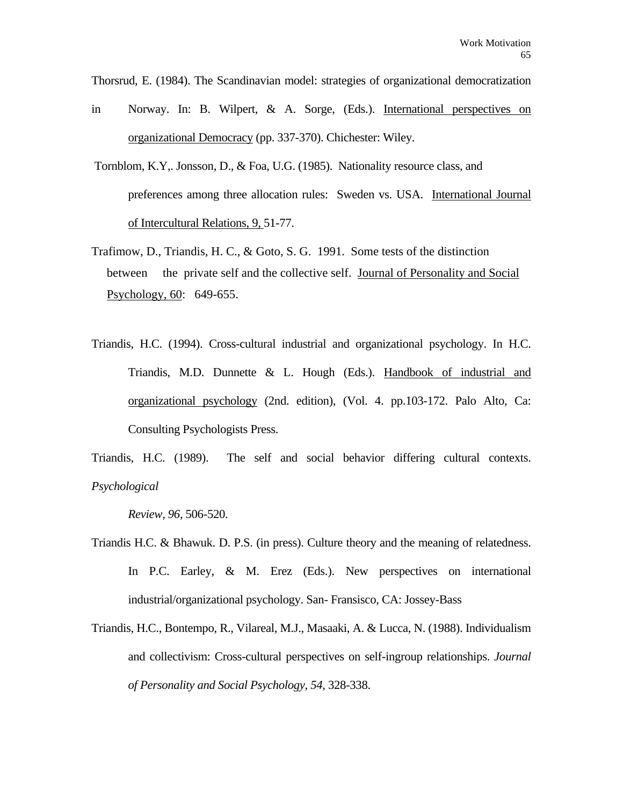Thorsrud, E. (1984). The Scandinavian model: strategies of organizational democratization

- in Norway. In: B. Wilpert, & A. Sorge, (Eds.). International perspectives on organizational Democracy (pp. 337-370). Chichester: Wiley.
- Tornblom, K.Y,. Jonsson, D., & Foa, U.G. (1985). Nationality resource class, and preferences among three allocation rules: Sweden vs. USA. International Journal of Intercultural Relations, 9, 51-77.
- Trafimow, D., Triandis, H. C., & Goto, S. G. 1991. Some tests of the distinction between the private self and the collective self. Journal of Personality and Social Psychology, 60: 649-655.
- Triandis, H.C. (1994). Cross-cultural industrial and organizational psychology. In H.C. Triandis, M.D. Dunnette & L. Hough (Eds.). Handbook of industrial and organizational psychology (2nd. edition), (Vol. 4. pp.103-172. Palo Alto, Ca: Consulting Psychologists Press.

Triandis, H.C. (1989). The self and social behavior differing cultural contexts. *Psychological* 

 *Review, 96,* 506-520.

- Triandis H.C. & Bhawuk. D. P.S. (in press). Culture theory and the meaning of relatedness. In P.C. Earley, & M. Erez (Eds.). New perspectives on international industrial/organizational psychology. San- Fransisco, CA: Jossey-Bass
- Triandis, H.C., Bontempo, R., Vilareal, M.J., Masaaki, A. & Lucca, N. (1988). Individualism and collectivism: Cross-cultural perspectives on self-ingroup relationships. *Journal of Personality and Social Psychology, 54*, 328-338.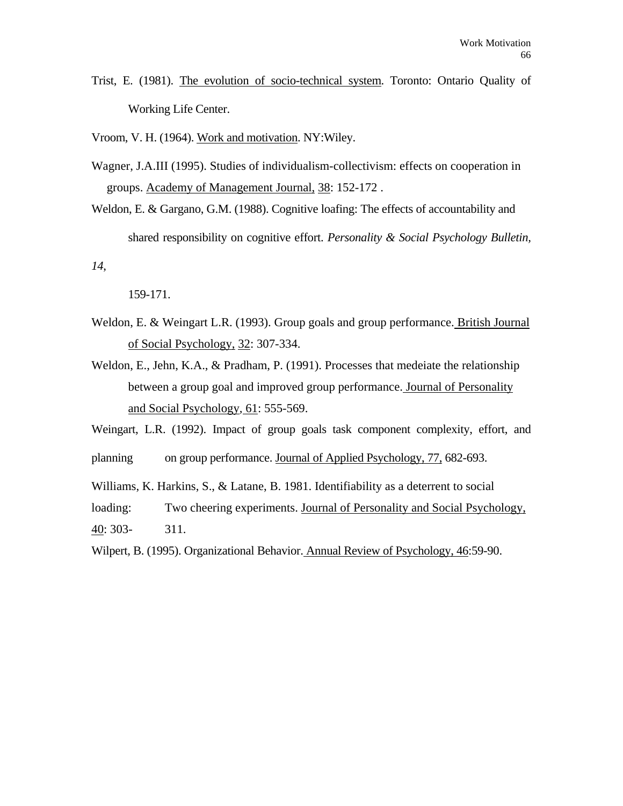Trist, E. (1981). The evolution of socio-technical system. Toronto: Ontario Quality of Working Life Center.

Vroom, V. H. (1964). Work and motivation. NY:Wiley.

Wagner, J.A.III (1995). Studies of individualism-collectivism: effects on cooperation in groups. Academy of Management Journal, 38: 152-172 .

Weldon, E. & Gargano, G.M. (1988). Cognitive loafing: The effects of accountability and shared responsibility on cognitive effort. *Personality & Social Psychology Bulletin,* 

*14*,

159-171.

- Weldon, E. & Weingart L.R. (1993). Group goals and group performance. British Journal of Social Psychology, 32: 307-334.
- Weldon, E., Jehn, K.A., & Pradham, P. (1991). Processes that medeiate the relationship between a group goal and improved group performance. Journal of Personality and Social Psychology*,* 61: 555-569.

Weingart, L.R. (1992). Impact of group goals task component complexity, effort, and

planning on group performance. Journal of Applied Psychology, 77, 682-693.

Williams, K. Harkins, S., & Latane, B. 1981. Identifiability as a deterrent to social loading: Two cheering experiments. Journal of Personality and Social Psychology, 40: 303- 311.

Wilpert, B. (1995). Organizational Behavior. Annual Review of Psychology, 46:59-90.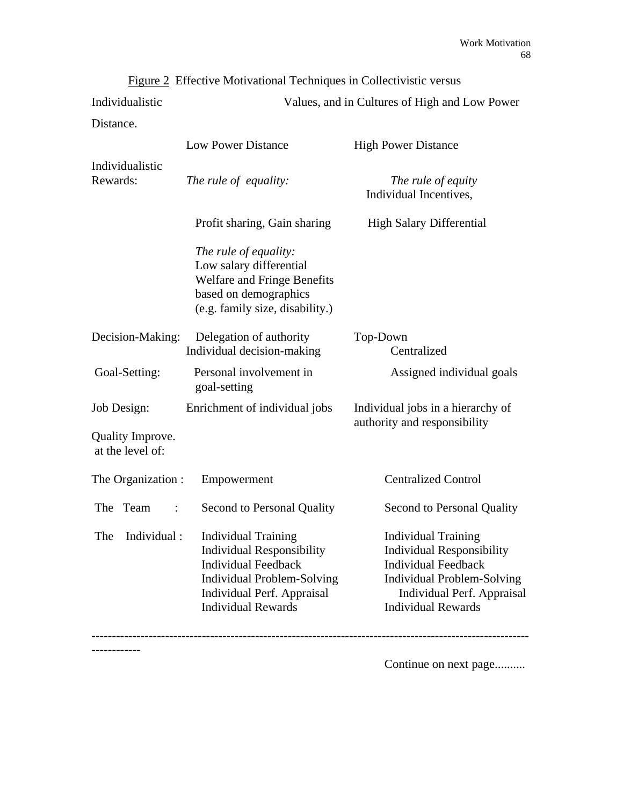|                                      | $\frac{ \text{Figure 2}}{ \text{Therefore}}$ Monvational Techniques in Conectivistic versus                                                                                                           |                                                                                                                                                                                       |
|--------------------------------------|-------------------------------------------------------------------------------------------------------------------------------------------------------------------------------------------------------|---------------------------------------------------------------------------------------------------------------------------------------------------------------------------------------|
| Individualistic                      | Values, and in Cultures of High and Low Power                                                                                                                                                         |                                                                                                                                                                                       |
| Distance.                            |                                                                                                                                                                                                       |                                                                                                                                                                                       |
|                                      | <b>Low Power Distance</b>                                                                                                                                                                             | <b>High Power Distance</b>                                                                                                                                                            |
| Individualistic<br>Rewards:          | The rule of equality:                                                                                                                                                                                 | The rule of equity<br>Individual Incentives,                                                                                                                                          |
|                                      | Profit sharing, Gain sharing                                                                                                                                                                          | <b>High Salary Differential</b>                                                                                                                                                       |
|                                      | The rule of equality:<br>Low salary differential<br><b>Welfare and Fringe Benefits</b><br>based on demographics<br>(e.g. family size, disability.)                                                    |                                                                                                                                                                                       |
| Decision-Making:                     | Delegation of authority<br>Individual decision-making                                                                                                                                                 | Top-Down<br>Centralized                                                                                                                                                               |
| Goal-Setting:                        | Personal involvement in<br>goal-setting                                                                                                                                                               | Assigned individual goals                                                                                                                                                             |
| Job Design:                          | Enrichment of individual jobs                                                                                                                                                                         | Individual jobs in a hierarchy of<br>authority and responsibility                                                                                                                     |
| Quality Improve.<br>at the level of: |                                                                                                                                                                                                       |                                                                                                                                                                                       |
| The Organization:                    | Empowerment                                                                                                                                                                                           | <b>Centralized Control</b>                                                                                                                                                            |
| The Team<br>$\ddot{\cdot}$           | Second to Personal Quality                                                                                                                                                                            | Second to Personal Quality                                                                                                                                                            |
|                                      | The Individual: Individual Training<br><b>Individual Responsibility</b><br><b>Individual Feedback</b><br><b>Individual Problem-Solving</b><br>Individual Perf. Appraisal<br><b>Individual Rewards</b> | Individual Training<br><b>Individual Responsibility</b><br><b>Individual Feedback</b><br><b>Individual Problem-Solving</b><br>Individual Perf. Appraisal<br><b>Individual Rewards</b> |
|                                      |                                                                                                                                                                                                       |                                                                                                                                                                                       |
|                                      |                                                                                                                                                                                                       |                                                                                                                                                                                       |

Figure 2 Effective Motivational Techniques in Collectivistic versus

Continue on next page..........